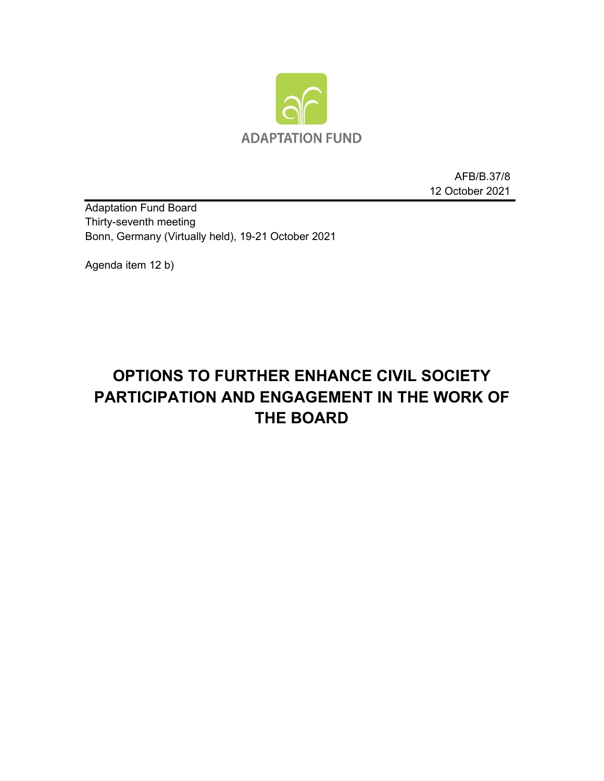

AFB/B.37/8 12 October 2021

Adaptation Fund Board Thirty-seventh meeting Bonn, Germany (Virtually held), 19-21 October 2021

Agenda item 12 b)

# **OPTIONS TO FURTHER ENHANCE CIVIL SOCIETY PARTICIPATION AND ENGAGEMENT IN THE WORK OF THE BOARD**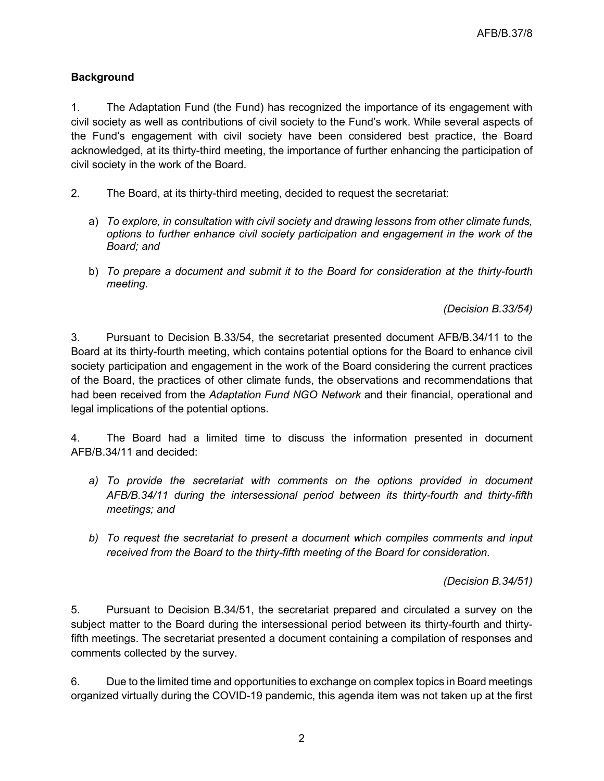# **Background**

1. The Adaptation Fund (the Fund) has recognized the importance of its engagement with civil society as well as contributions of civil society to the Fund's work. While several aspects of the Fund's engagement with civil society have been considered best practice, the Board acknowledged, at its thirty-third meeting, the importance of further enhancing the participation of civil society in the work of the Board.

- 2. The Board, at its thirty-third meeting, decided to request the secretariat:
	- a) *To explore, in consultation with civil society and drawing lessons from other climate funds, options to further enhance civil society participation and engagement in the work of the Board; and*
	- b) *To prepare a document and submit it to the Board for consideration at the thirty-fourth meeting.*

*(Decision B.33/54)*

3. Pursuant to Decision B.33/54, the secretariat presented document AFB/B.34/11 to the Board at its thirty-fourth meeting, which contains potential options for the Board to enhance civil society participation and engagement in the work of the Board considering the current practices of the Board, the practices of other climate funds, the observations and recommendations that had been received from the *Adaptation Fund NGO Network* and their financial, operational and legal implications of the potential options.

4. The Board had a limited time to discuss the information presented in document AFB/B.34/11 and decided:

- a) To provide the secretariat with comments on the options provided in document *AFB/B.34/11 during the intersessional period between its thirty-fourth and thirty-fifth meetings; and*
- *b) To request the secretariat to present a document which compiles comments and input received from the Board to the thirty-fifth meeting of the Board for consideration.*

*(Decision B.34/51)*

5. Pursuant to Decision B.34/51, the secretariat prepared and circulated a survey on the subject matter to the Board during the intersessional period between its thirty-fourth and thirtyfifth meetings. The secretariat presented a document containing a compilation of responses and comments collected by the survey.

6. Due to the limited time and opportunities to exchange on complex topics in Board meetings organized virtually during the COVID-19 pandemic, this agenda item was not taken up at the first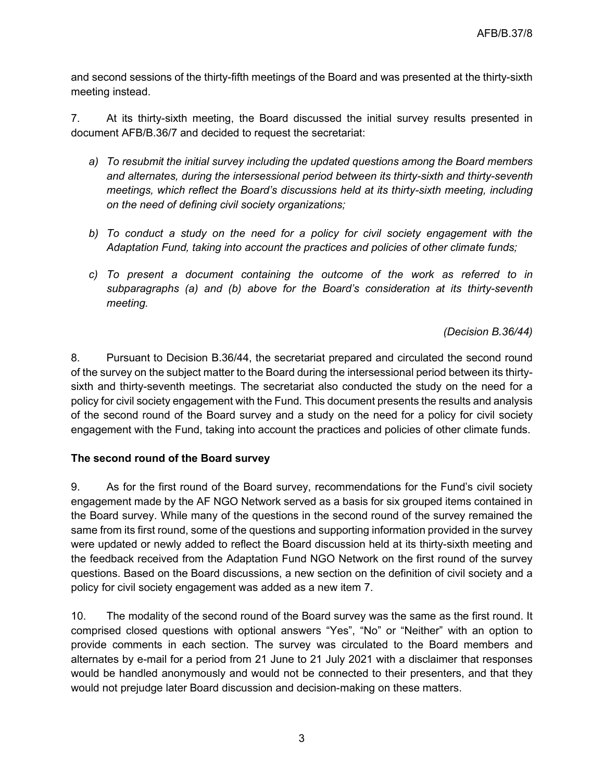and second sessions of the thirty-fifth meetings of the Board and was presented at the thirty-sixth meeting instead.

7. At its thirty-sixth meeting, the Board discussed the initial survey results presented in document AFB/B.36/7 and decided to request the secretariat:

- *a) To resubmit the initial survey including the updated questions among the Board members and alternates, during the intersessional period between its thirty-sixth and thirty-seventh meetings, which reflect the Board's discussions held at its thirty-sixth meeting, including on the need of defining civil society organizations;*
- *b) To conduct a study on the need for a policy for civil society engagement with the Adaptation Fund, taking into account the practices and policies of other climate funds;*
- *c) To present a document containing the outcome of the work as referred to in subparagraphs (a) and (b) above for the Board's consideration at its thirty-seventh meeting.*

*(Decision B.36/44)*

8. Pursuant to Decision B.36/44, the secretariat prepared and circulated the second round of the survey on the subject matter to the Board during the intersessional period between its thirtysixth and thirty-seventh meetings. The secretariat also conducted the study on the need for a policy for civil society engagement with the Fund. This document presents the results and analysis of the second round of the Board survey and a study on the need for a policy for civil society engagement with the Fund, taking into account the practices and policies of other climate funds.

# **The second round of the Board survey**

9. As for the first round of the Board survey, recommendations for the Fund's civil society engagement made by the AF NGO Network served as a basis for six grouped items contained in the Board survey. While many of the questions in the second round of the survey remained the same from its first round, some of the questions and supporting information provided in the survey were updated or newly added to reflect the Board discussion held at its thirty-sixth meeting and the feedback received from the Adaptation Fund NGO Network on the first round of the survey questions. Based on the Board discussions, a new section on the definition of civil society and a policy for civil society engagement was added as a new item 7.

10. The modality of the second round of the Board survey was the same as the first round. It comprised closed questions with optional answers "Yes", "No" or "Neither" with an option to provide comments in each section. The survey was circulated to the Board members and alternates by e-mail for a period from 21 June to 21 July 2021 with a disclaimer that responses would be handled anonymously and would not be connected to their presenters, and that they would not prejudge later Board discussion and decision-making on these matters.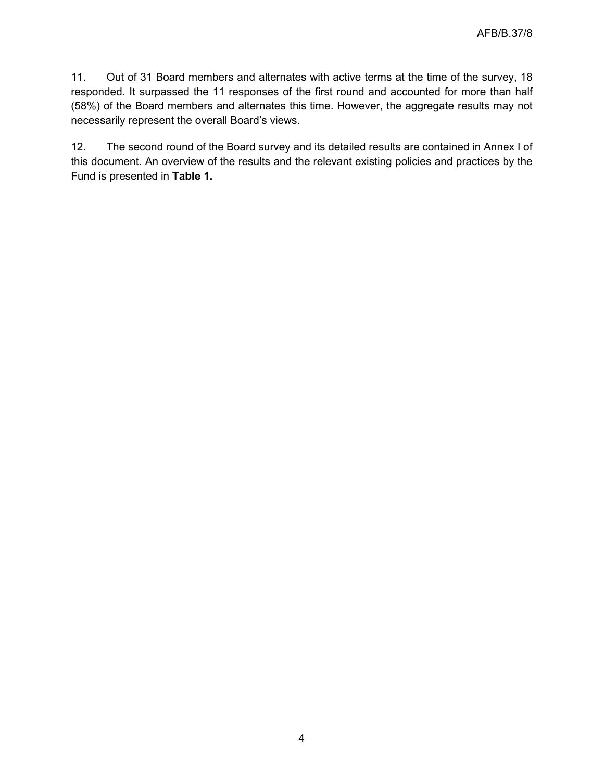11. Out of 31 Board members and alternates with active terms at the time of the survey, 18 responded. It surpassed the 11 responses of the first round and accounted for more than half (58%) of the Board members and alternates this time. However, the aggregate results may not necessarily represent the overall Board's views.

12. The second round of the Board survey and its detailed results are contained in Annex I of this document. An overview of the results and the relevant existing policies and practices by the Fund is presented in **Table 1.**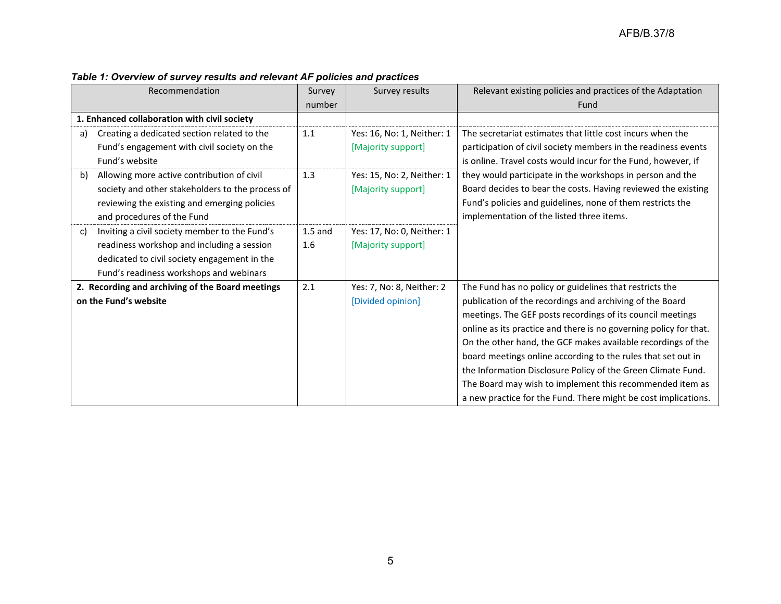| Recommendation                                      | Survey    | Survey results             | Relevant existing policies and practices of the Adaptation        |
|-----------------------------------------------------|-----------|----------------------------|-------------------------------------------------------------------|
|                                                     | number    |                            | Fund                                                              |
| 1. Enhanced collaboration with civil society        |           |                            |                                                                   |
| Creating a dedicated section related to the<br>a)   | 1.1       | Yes: 16, No: 1, Neither: 1 | The secretariat estimates that little cost incurs when the        |
| Fund's engagement with civil society on the         |           | [Majority support]         | participation of civil society members in the readiness events    |
| Fund's website                                      |           |                            | is online. Travel costs would incur for the Fund, however, if     |
| Allowing more active contribution of civil<br>b)    | 1.3       | Yes: 15, No: 2, Neither: 1 | they would participate in the workshops in person and the         |
| society and other stakeholders to the process of    |           | [Majority support]         | Board decides to bear the costs. Having reviewed the existing     |
| reviewing the existing and emerging policies        |           |                            | Fund's policies and guidelines, none of them restricts the        |
| and procedures of the Fund                          |           |                            | implementation of the listed three items.                         |
| Inviting a civil society member to the Fund's<br>C) | $1.5$ and | Yes: 17, No: 0, Neither: 1 |                                                                   |
| readiness workshop and including a session          | 1.6       | [Majority support]         |                                                                   |
| dedicated to civil society engagement in the        |           |                            |                                                                   |
| Fund's readiness workshops and webinars             |           |                            |                                                                   |
| 2. Recording and archiving of the Board meetings    | 2.1       | Yes: 7, No: 8, Neither: 2  | The Fund has no policy or guidelines that restricts the           |
| on the Fund's website                               |           | [Divided opinion]          | publication of the recordings and archiving of the Board          |
|                                                     |           |                            | meetings. The GEF posts recordings of its council meetings        |
|                                                     |           |                            | online as its practice and there is no governing policy for that. |
|                                                     |           |                            | On the other hand, the GCF makes available recordings of the      |
|                                                     |           |                            | board meetings online according to the rules that set out in      |
|                                                     |           |                            | the Information Disclosure Policy of the Green Climate Fund.      |
|                                                     |           |                            | The Board may wish to implement this recommended item as          |
|                                                     |           |                            | a new practice for the Fund. There might be cost implications.    |

# *Table 1: Overview of survey results and relevant AF policies and practices*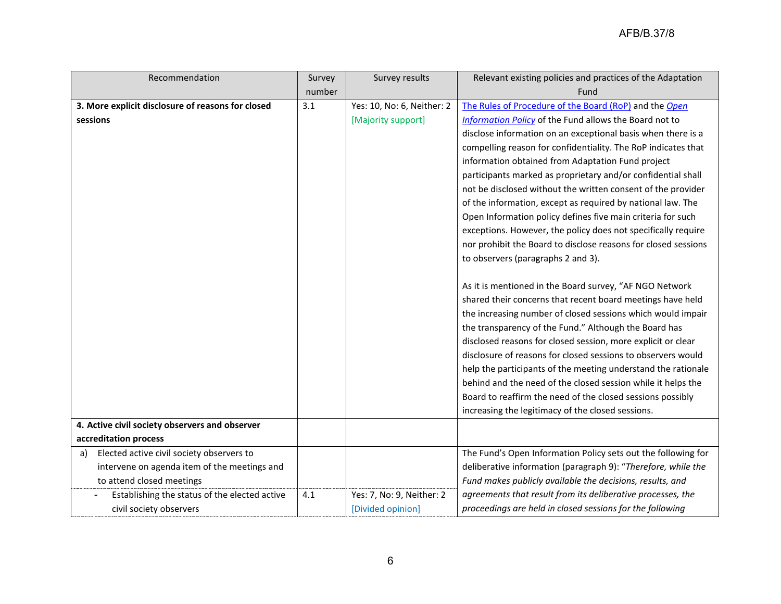| Recommendation                                    | Survey | Survey results             | Relevant existing policies and practices of the Adaptation     |
|---------------------------------------------------|--------|----------------------------|----------------------------------------------------------------|
|                                                   | number |                            | Fund                                                           |
| 3. More explicit disclosure of reasons for closed | 3.1    | Yes: 10, No: 6, Neither: 2 | The Rules of Procedure of the Board (RoP) and the Open         |
| sessions                                          |        | [Majority support]         | Information Policy of the Fund allows the Board not to         |
|                                                   |        |                            | disclose information on an exceptional basis when there is a   |
|                                                   |        |                            | compelling reason for confidentiality. The RoP indicates that  |
|                                                   |        |                            | information obtained from Adaptation Fund project              |
|                                                   |        |                            | participants marked as proprietary and/or confidential shall   |
|                                                   |        |                            | not be disclosed without the written consent of the provider   |
|                                                   |        |                            | of the information, except as required by national law. The    |
|                                                   |        |                            | Open Information policy defines five main criteria for such    |
|                                                   |        |                            | exceptions. However, the policy does not specifically require  |
|                                                   |        |                            | nor prohibit the Board to disclose reasons for closed sessions |
|                                                   |        |                            | to observers (paragraphs 2 and 3).                             |
|                                                   |        |                            |                                                                |
|                                                   |        |                            | As it is mentioned in the Board survey, "AF NGO Network        |
|                                                   |        |                            | shared their concerns that recent board meetings have held     |
|                                                   |        |                            | the increasing number of closed sessions which would impair    |
|                                                   |        |                            | the transparency of the Fund." Although the Board has          |
|                                                   |        |                            | disclosed reasons for closed session, more explicit or clear   |
|                                                   |        |                            | disclosure of reasons for closed sessions to observers would   |
|                                                   |        |                            | help the participants of the meeting understand the rationale  |
|                                                   |        |                            | behind and the need of the closed session while it helps the   |
|                                                   |        |                            | Board to reaffirm the need of the closed sessions possibly     |
|                                                   |        |                            | increasing the legitimacy of the closed sessions.              |
| 4. Active civil society observers and observer    |        |                            |                                                                |
| accreditation process                             |        |                            |                                                                |
| Elected active civil society observers to<br>a)   |        |                            | The Fund's Open Information Policy sets out the following for  |
| intervene on agenda item of the meetings and      |        |                            | deliberative information (paragraph 9): "Therefore, while the  |
| to attend closed meetings                         |        |                            | Fund makes publicly available the decisions, results, and      |
| Establishing the status of the elected active     | 4.1    | Yes: 7, No: 9, Neither: 2  | agreements that result from its deliberative processes, the    |
| civil society observers                           |        | [Divided opinion]          | proceedings are held in closed sessions for the following      |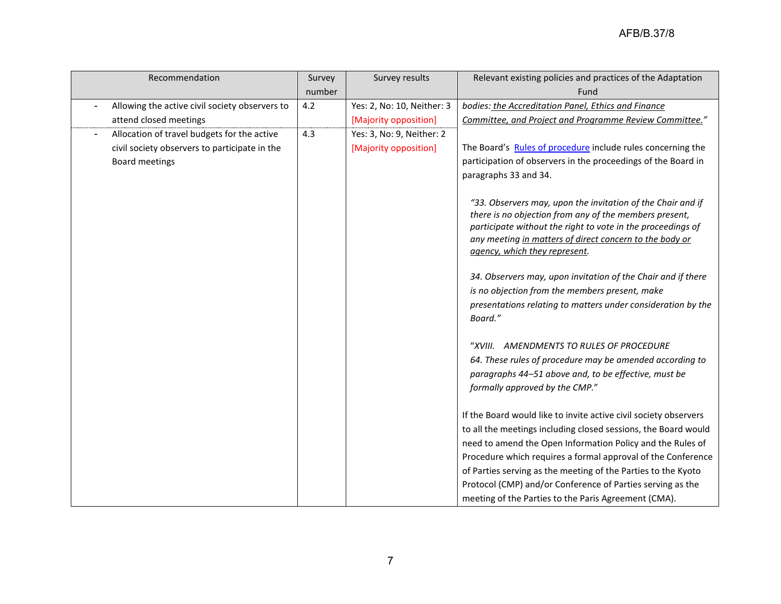| Recommendation                                 | Survey | Survey results             | Relevant existing policies and practices of the Adaptation                                                             |
|------------------------------------------------|--------|----------------------------|------------------------------------------------------------------------------------------------------------------------|
|                                                | number |                            | Fund                                                                                                                   |
| Allowing the active civil society observers to | 4.2    | Yes: 2, No: 10, Neither: 3 | bodies: the Accreditation Panel, Ethics and Finance                                                                    |
| attend closed meetings                         |        | [Majority opposition]      | Committee, and Project and Programme Review Committee."                                                                |
| Allocation of travel budgets for the active    | 4.3    | Yes: 3, No: 9, Neither: 2  |                                                                                                                        |
| civil society observers to participate in the  |        | [Majority opposition]      | The Board's Rules of procedure include rules concerning the                                                            |
| Board meetings                                 |        |                            | participation of observers in the proceedings of the Board in                                                          |
|                                                |        |                            | paragraphs 33 and 34.                                                                                                  |
|                                                |        |                            |                                                                                                                        |
|                                                |        |                            | "33. Observers may, upon the invitation of the Chair and if                                                            |
|                                                |        |                            | there is no objection from any of the members present,                                                                 |
|                                                |        |                            | participate without the right to vote in the proceedings of<br>any meeting in matters of direct concern to the body or |
|                                                |        |                            | agency, which they represent.                                                                                          |
|                                                |        |                            |                                                                                                                        |
|                                                |        |                            | 34. Observers may, upon invitation of the Chair and if there                                                           |
|                                                |        |                            | is no objection from the members present, make                                                                         |
|                                                |        |                            | presentations relating to matters under consideration by the                                                           |
|                                                |        |                            | Board."                                                                                                                |
|                                                |        |                            |                                                                                                                        |
|                                                |        |                            | "XVIII. AMENDMENTS TO RULES OF PROCEDURE                                                                               |
|                                                |        |                            | 64. These rules of procedure may be amended according to                                                               |
|                                                |        |                            | paragraphs 44-51 above and, to be effective, must be                                                                   |
|                                                |        |                            | formally approved by the CMP."                                                                                         |
|                                                |        |                            |                                                                                                                        |
|                                                |        |                            | If the Board would like to invite active civil society observers                                                       |
|                                                |        |                            | to all the meetings including closed sessions, the Board would                                                         |
|                                                |        |                            | need to amend the Open Information Policy and the Rules of                                                             |
|                                                |        |                            | Procedure which requires a formal approval of the Conference                                                           |
|                                                |        |                            | of Parties serving as the meeting of the Parties to the Kyoto                                                          |
|                                                |        |                            | Protocol (CMP) and/or Conference of Parties serving as the                                                             |
|                                                |        |                            | meeting of the Parties to the Paris Agreement (CMA).                                                                   |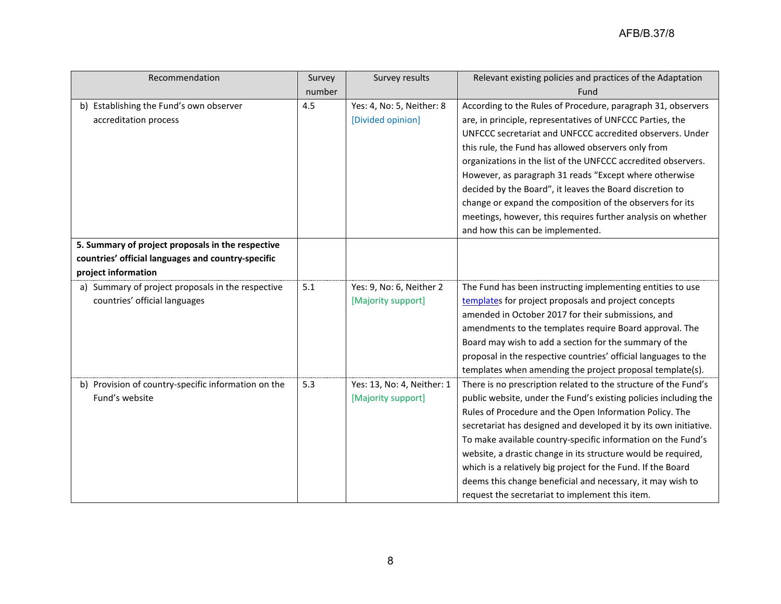| Recommendation                                      | Survey | Survey results             | Relevant existing policies and practices of the Adaptation       |
|-----------------------------------------------------|--------|----------------------------|------------------------------------------------------------------|
|                                                     | number |                            | Fund                                                             |
| b) Establishing the Fund's own observer             | 4.5    | Yes: 4, No: 5, Neither: 8  | According to the Rules of Procedure, paragraph 31, observers     |
| accreditation process                               |        | [Divided opinion]          | are, in principle, representatives of UNFCCC Parties, the        |
|                                                     |        |                            | UNFCCC secretariat and UNFCCC accredited observers. Under        |
|                                                     |        |                            | this rule, the Fund has allowed observers only from              |
|                                                     |        |                            | organizations in the list of the UNFCCC accredited observers.    |
|                                                     |        |                            | However, as paragraph 31 reads "Except where otherwise           |
|                                                     |        |                            | decided by the Board", it leaves the Board discretion to         |
|                                                     |        |                            | change or expand the composition of the observers for its        |
|                                                     |        |                            | meetings, however, this requires further analysis on whether     |
|                                                     |        |                            | and how this can be implemented.                                 |
| 5. Summary of project proposals in the respective   |        |                            |                                                                  |
| countries' official languages and country-specific  |        |                            |                                                                  |
| project information                                 |        |                            |                                                                  |
| a) Summary of project proposals in the respective   | 5.1    | Yes: 9, No: 6, Neither 2   | The Fund has been instructing implementing entities to use       |
| countries' official languages                       |        | [Majority support]         | templates for project proposals and project concepts             |
|                                                     |        |                            | amended in October 2017 for their submissions, and               |
|                                                     |        |                            | amendments to the templates require Board approval. The          |
|                                                     |        |                            | Board may wish to add a section for the summary of the           |
|                                                     |        |                            | proposal in the respective countries' official languages to the  |
|                                                     |        |                            | templates when amending the project proposal template(s).        |
| b) Provision of country-specific information on the | 5.3    | Yes: 13, No: 4, Neither: 1 | There is no prescription related to the structure of the Fund's  |
| Fund's website                                      |        | [Majority support]         | public website, under the Fund's existing policies including the |
|                                                     |        |                            | Rules of Procedure and the Open Information Policy. The          |
|                                                     |        |                            | secretariat has designed and developed it by its own initiative. |
|                                                     |        |                            | To make available country-specific information on the Fund's     |
|                                                     |        |                            | website, a drastic change in its structure would be required,    |
|                                                     |        |                            | which is a relatively big project for the Fund. If the Board     |
|                                                     |        |                            | deems this change beneficial and necessary, it may wish to       |
|                                                     |        |                            | request the secretariat to implement this item.                  |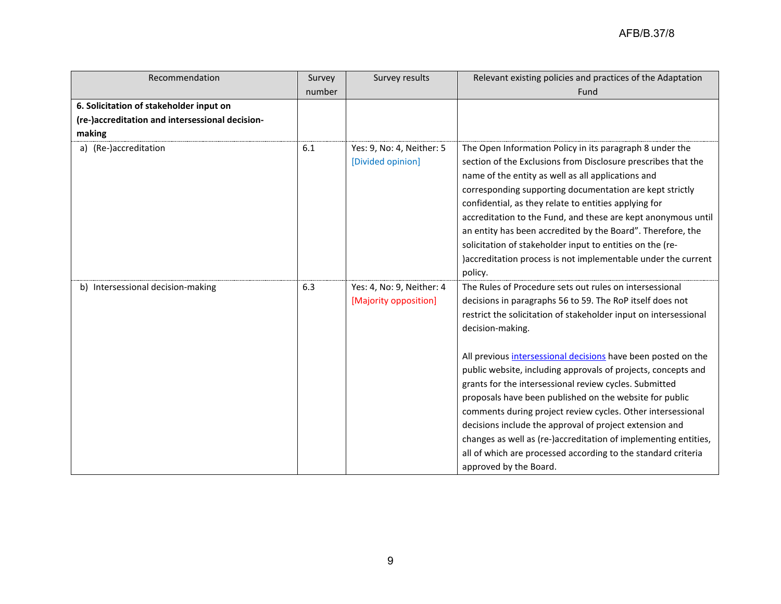| Recommendation                                  | Survey | Survey results                                     | Relevant existing policies and practices of the Adaptation                                                                                                                                                                                                                                                                                                                                                                                                                                                                                                                                                                                                                                                                                                  |
|-------------------------------------------------|--------|----------------------------------------------------|-------------------------------------------------------------------------------------------------------------------------------------------------------------------------------------------------------------------------------------------------------------------------------------------------------------------------------------------------------------------------------------------------------------------------------------------------------------------------------------------------------------------------------------------------------------------------------------------------------------------------------------------------------------------------------------------------------------------------------------------------------------|
|                                                 | number |                                                    | Fund                                                                                                                                                                                                                                                                                                                                                                                                                                                                                                                                                                                                                                                                                                                                                        |
| 6. Solicitation of stakeholder input on         |        |                                                    |                                                                                                                                                                                                                                                                                                                                                                                                                                                                                                                                                                                                                                                                                                                                                             |
| (re-)accreditation and intersessional decision- |        |                                                    |                                                                                                                                                                                                                                                                                                                                                                                                                                                                                                                                                                                                                                                                                                                                                             |
| making                                          |        |                                                    |                                                                                                                                                                                                                                                                                                                                                                                                                                                                                                                                                                                                                                                                                                                                                             |
| a) (Re-)accreditation                           | 6.1    | Yes: 9, No: 4, Neither: 5<br>[Divided opinion]     | The Open Information Policy in its paragraph 8 under the<br>section of the Exclusions from Disclosure prescribes that the<br>name of the entity as well as all applications and<br>corresponding supporting documentation are kept strictly<br>confidential, as they relate to entities applying for<br>accreditation to the Fund, and these are kept anonymous until<br>an entity has been accredited by the Board". Therefore, the<br>solicitation of stakeholder input to entities on the (re-<br>)accreditation process is not implementable under the current<br>policy.                                                                                                                                                                               |
| b) Intersessional decision-making               | 6.3    | Yes: 4, No: 9, Neither: 4<br>[Majority opposition] | The Rules of Procedure sets out rules on intersessional<br>decisions in paragraphs 56 to 59. The RoP itself does not<br>restrict the solicitation of stakeholder input on intersessional<br>decision-making.<br>All previous intersessional decisions have been posted on the<br>public website, including approvals of projects, concepts and<br>grants for the intersessional review cycles. Submitted<br>proposals have been published on the website for public<br>comments during project review cycles. Other intersessional<br>decisions include the approval of project extension and<br>changes as well as (re-)accreditation of implementing entities,<br>all of which are processed according to the standard criteria<br>approved by the Board. |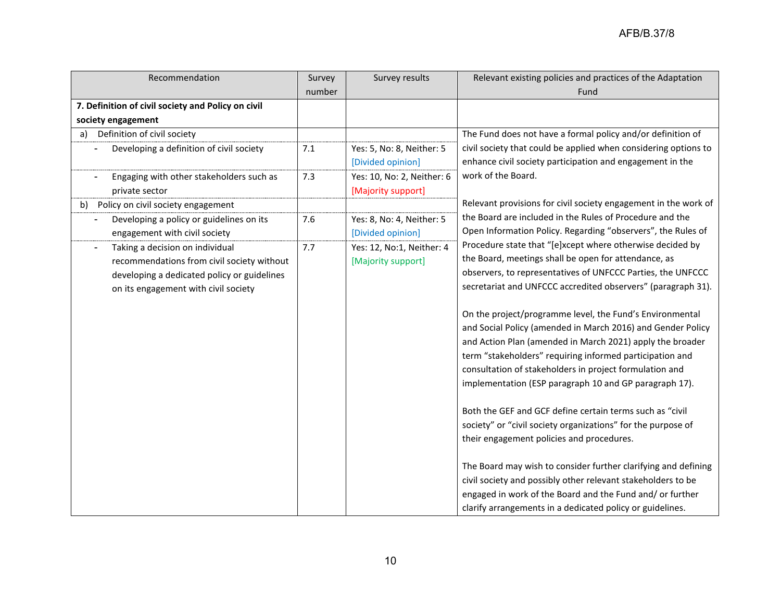| Recommendation                                     | Survey | Survey results             | Relevant existing policies and practices of the Adaptation      |
|----------------------------------------------------|--------|----------------------------|-----------------------------------------------------------------|
|                                                    | number |                            | Fund                                                            |
| 7. Definition of civil society and Policy on civil |        |                            |                                                                 |
| society engagement                                 |        |                            |                                                                 |
| Definition of civil society<br>a)                  |        |                            | The Fund does not have a formal policy and/or definition of     |
| Developing a definition of civil society           | 7.1    | Yes: 5, No: 8, Neither: 5  | civil society that could be applied when considering options to |
|                                                    |        | [Divided opinion]          | enhance civil society participation and engagement in the       |
| Engaging with other stakeholders such as           | 7.3    | Yes: 10, No: 2, Neither: 6 | work of the Board.                                              |
| private sector                                     |        | [Majority support]         |                                                                 |
| Policy on civil society engagement<br>b)           |        |                            | Relevant provisions for civil society engagement in the work of |
| Developing a policy or guidelines on its           | 7.6    | Yes: 8, No: 4, Neither: 5  | the Board are included in the Rules of Procedure and the        |
| engagement with civil society                      |        | [Divided opinion]          | Open Information Policy. Regarding "observers", the Rules of    |
| Taking a decision on individual                    | 7.7    | Yes: 12, No:1, Neither: 4  | Procedure state that "[e]xcept where otherwise decided by       |
| recommendations from civil society without         |        | [Majority support]         | the Board, meetings shall be open for attendance, as            |
| developing a dedicated policy or guidelines        |        |                            | observers, to representatives of UNFCCC Parties, the UNFCCC     |
| on its engagement with civil society               |        |                            | secretariat and UNFCCC accredited observers" (paragraph 31).    |
|                                                    |        |                            |                                                                 |
|                                                    |        |                            | On the project/programme level, the Fund's Environmental        |
|                                                    |        |                            | and Social Policy (amended in March 2016) and Gender Policy     |
|                                                    |        |                            | and Action Plan (amended in March 2021) apply the broader       |
|                                                    |        |                            | term "stakeholders" requiring informed participation and        |
|                                                    |        |                            | consultation of stakeholders in project formulation and         |
|                                                    |        |                            | implementation (ESP paragraph 10 and GP paragraph 17).          |
|                                                    |        |                            |                                                                 |
|                                                    |        |                            | Both the GEF and GCF define certain terms such as "civil        |
|                                                    |        |                            | society" or "civil society organizations" for the purpose of    |
|                                                    |        |                            | their engagement policies and procedures.                       |
|                                                    |        |                            |                                                                 |
|                                                    |        |                            | The Board may wish to consider further clarifying and defining  |
|                                                    |        |                            | civil society and possibly other relevant stakeholders to be    |
|                                                    |        |                            | engaged in work of the Board and the Fund and/ or further       |
|                                                    |        |                            | clarify arrangements in a dedicated policy or guidelines.       |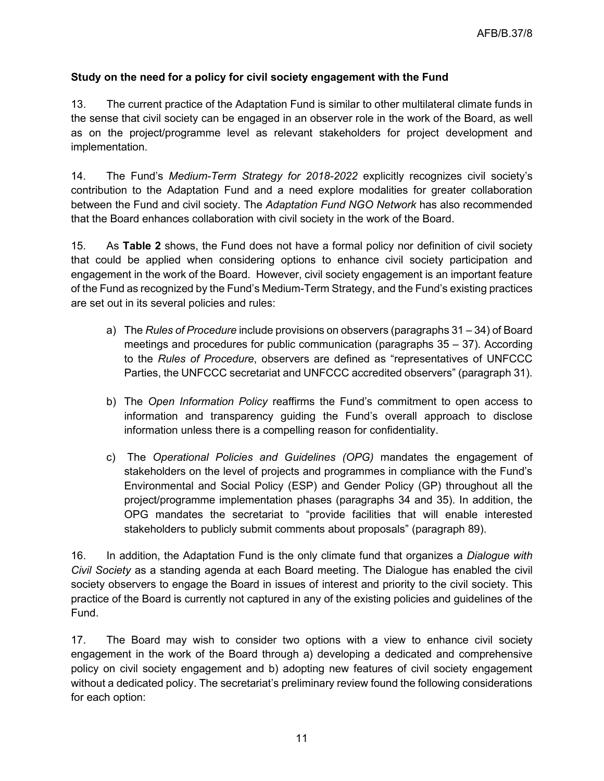# **Study on the need for a policy for civil society engagement with the Fund**

13. The current practice of the Adaptation Fund is similar to other multilateral climate funds in the sense that civil society can be engaged in an observer role in the work of the Board, as well as on the project/programme level as relevant stakeholders for project development and implementation.

14. The Fund's *Medium-Term Strategy for 2018-2022* explicitly recognizes civil society's contribution to the Adaptation Fund and a need explore modalities for greater collaboration between the Fund and civil society. The *Adaptation Fund NGO Network* has also recommended that the Board enhances collaboration with civil society in the work of the Board.

15. As **Table 2** shows, the Fund does not have a formal policy nor definition of civil society that could be applied when considering options to enhance civil society participation and engagement in the work of the Board. However, civil society engagement is an important feature of the Fund as recognized by the Fund's Medium-Term Strategy, and the Fund's existing practices are set out in its several policies and rules:

- a) The *Rules of Procedure* include provisions on observers (paragraphs 31 34) of Board meetings and procedures for public communication (paragraphs 35 – 37). According to the *Rules of Procedure*, observers are defined as "representatives of UNFCCC Parties, the UNFCCC secretariat and UNFCCC accredited observers" (paragraph 31).
- b) The *Open Information Policy* reaffirms the Fund's commitment to open access to information and transparency guiding the Fund's overall approach to disclose information unless there is a compelling reason for confidentiality.
- c) The *Operational Policies and Guidelines (OPG)* mandates the engagement of stakeholders on the level of projects and programmes in compliance with the Fund's Environmental and Social Policy (ESP) and Gender Policy (GP) throughout all the project/programme implementation phases (paragraphs 34 and 35). In addition, the OPG mandates the secretariat to "provide facilities that will enable interested stakeholders to publicly submit comments about proposals" (paragraph 89).

16. In addition, the Adaptation Fund is the only climate fund that organizes a *Dialogue with Civil Society* as a standing agenda at each Board meeting. The Dialogue has enabled the civil society observers to engage the Board in issues of interest and priority to the civil society. This practice of the Board is currently not captured in any of the existing policies and guidelines of the Fund.

17. The Board may wish to consider two options with a view to enhance civil society engagement in the work of the Board through a) developing a dedicated and comprehensive policy on civil society engagement and b) adopting new features of civil society engagement without a dedicated policy. The secretariat's preliminary review found the following considerations for each option: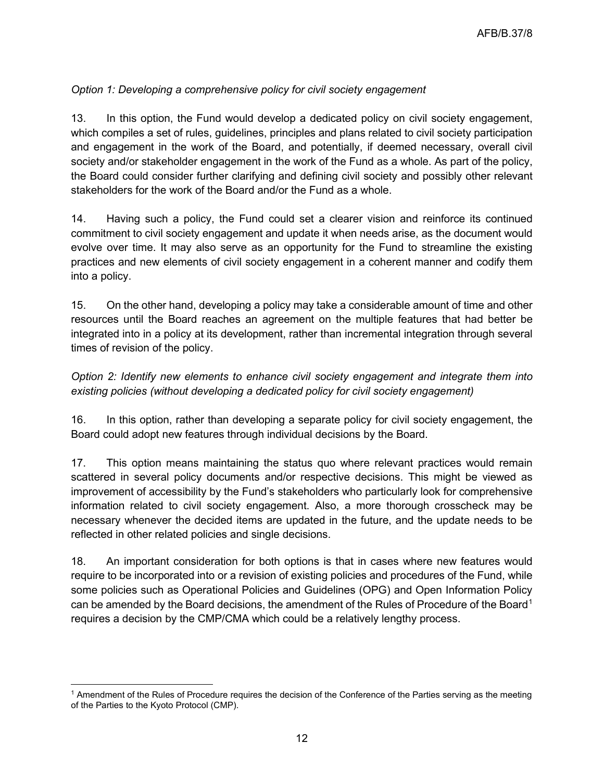# *Option 1: Developing a comprehensive policy for civil society engagement*

13. In this option, the Fund would develop a dedicated policy on civil society engagement, which compiles a set of rules, guidelines, principles and plans related to civil society participation and engagement in the work of the Board, and potentially, if deemed necessary, overall civil society and/or stakeholder engagement in the work of the Fund as a whole. As part of the policy, the Board could consider further clarifying and defining civil society and possibly other relevant stakeholders for the work of the Board and/or the Fund as a whole.

14. Having such a policy, the Fund could set a clearer vision and reinforce its continued commitment to civil society engagement and update it when needs arise, as the document would evolve over time. It may also serve as an opportunity for the Fund to streamline the existing practices and new elements of civil society engagement in a coherent manner and codify them into a policy.

15. On the other hand, developing a policy may take a considerable amount of time and other resources until the Board reaches an agreement on the multiple features that had better be integrated into in a policy at its development, rather than incremental integration through several times of revision of the policy.

*Option 2: Identify new elements to enhance civil society engagement and integrate them into existing policies (without developing a dedicated policy for civil society engagement)*

16. In this option, rather than developing a separate policy for civil society engagement, the Board could adopt new features through individual decisions by the Board.

17. This option means maintaining the status quo where relevant practices would remain scattered in several policy documents and/or respective decisions. This might be viewed as improvement of accessibility by the Fund's stakeholders who particularly look for comprehensive information related to civil society engagement. Also, a more thorough crosscheck may be necessary whenever the decided items are updated in the future, and the update needs to be reflected in other related policies and single decisions.

18. An important consideration for both options is that in cases where new features would require to be incorporated into or a revision of existing policies and procedures of the Fund, while some policies such as Operational Policies and Guidelines (OPG) and Open Information Policy can be amended by the Board decisions, the amendment of the Rules of Procedure of the Board<sup>[1](#page-11-0)</sup> requires a decision by the CMP/CMA which could be a relatively lengthy process.

<span id="page-11-0"></span><sup>1</sup> Amendment of the Rules of Procedure requires the decision of the Conference of the Parties serving as the meeting of the Parties to the Kyoto Protocol (CMP).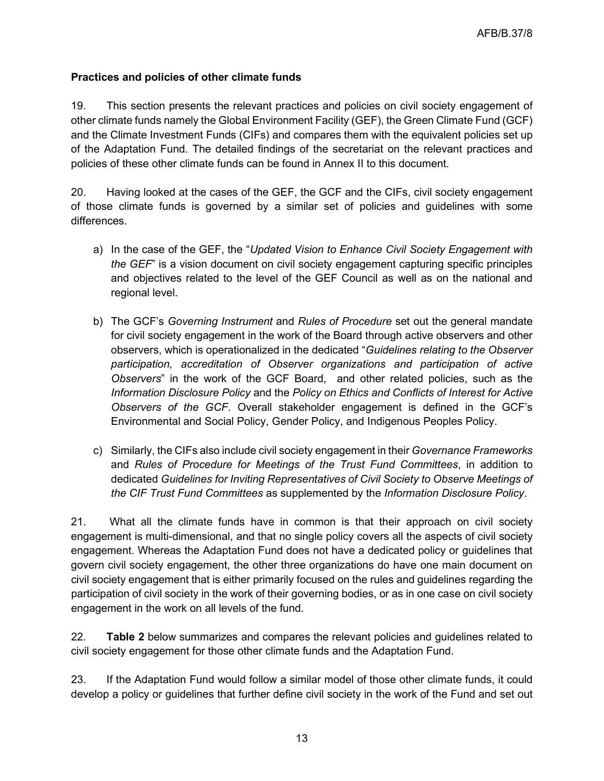## **Practices and policies of other climate funds**

19. This section presents the relevant practices and policies on civil society engagement of other climate funds namely the Global Environment Facility (GEF), the Green Climate Fund (GCF) and the Climate Investment Funds (CIFs) and compares them with the equivalent policies set up of the Adaptation Fund. The detailed findings of the secretariat on the relevant practices and policies of these other climate funds can be found in Annex II to this document.

20. Having looked at the cases of the GEF, the GCF and the CIFs, civil society engagement of those climate funds is governed by a similar set of policies and guidelines with some differences.

- a) In the case of the GEF, the "*Updated Vision to Enhance Civil Society Engagement with the GEF*" is a vision document on civil society engagement capturing specific principles and objectives related to the level of the GEF Council as well as on the national and regional level.
- b) The GCF's *Governing Instrument* and *Rules of Procedure* set out the general mandate for civil society engagement in the work of the Board through active observers and other observers, which is operationalized in the dedicated "*Guidelines relating to the Observer participation, accreditation of Observer organizations and participation of active Observers*" in the work of the GCF Board, and other related policies, such as the *Information Disclosure Policy* and the *Policy on Ethics and Conflicts of Interest for Active Observers of the GCF*. Overall stakeholder engagement is defined in the GCF's Environmental and Social Policy, Gender Policy, and Indigenous Peoples Policy.
- c) Similarly, the CIFs also include civil society engagement in their *Governance Frameworks* and *Rules of Procedure for Meetings of the Trust Fund Committees*, in addition to dedicated *Guidelines for Inviting Representatives of Civil Society to Observe Meetings of the CIF Trust Fund Committees* as supplemented by the *Information Disclosure Policy*.

21. What all the climate funds have in common is that their approach on civil society engagement is multi-dimensional, and that no single policy covers all the aspects of civil society engagement. Whereas the Adaptation Fund does not have a dedicated policy or guidelines that govern civil society engagement, the other three organizations do have one main document on civil society engagement that is either primarily focused on the rules and guidelines regarding the participation of civil society in the work of their governing bodies, or as in one case on civil society engagement in the work on all levels of the fund.

22. **Table 2** below summarizes and compares the relevant policies and guidelines related to civil society engagement for those other climate funds and the Adaptation Fund.

23. If the Adaptation Fund would follow a similar model of those other climate funds, it could develop a policy or guidelines that further define civil society in the work of the Fund and set out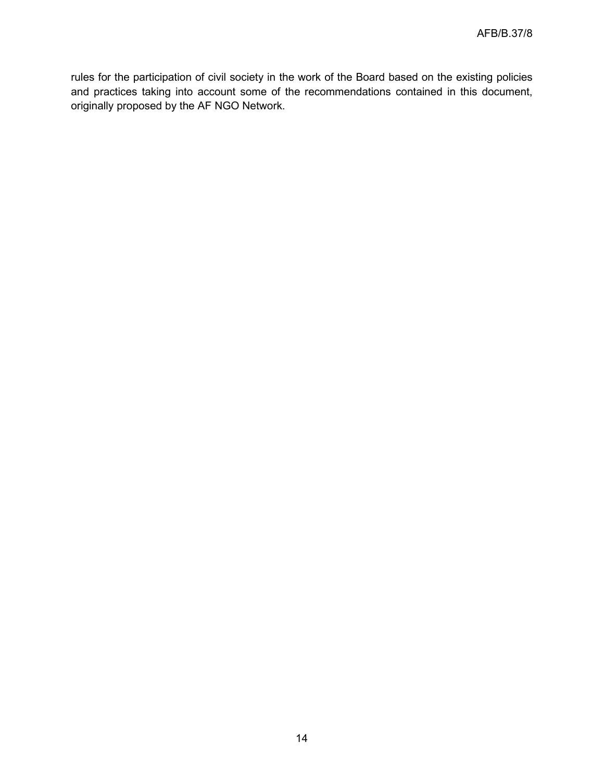rules for the participation of civil society in the work of the Board based on the existing policies and practices taking into account some of the recommendations contained in this document, originally proposed by the AF NGO Network.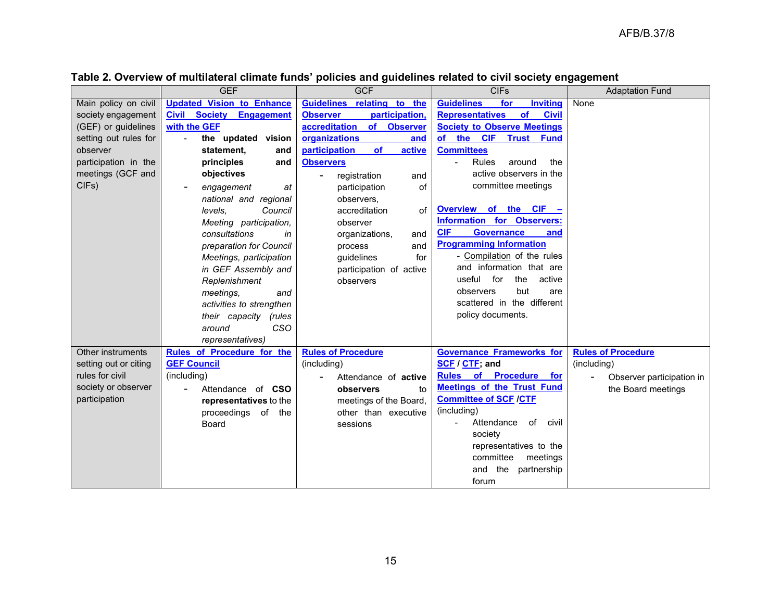|                       | <b>GEF</b>                       | <b>GCF</b>                        | <b>CIFs</b>                                  | <b>Adaptation Fund</b>    |
|-----------------------|----------------------------------|-----------------------------------|----------------------------------------------|---------------------------|
| Main policy on civil  | <b>Updated Vision to Enhance</b> | Guidelines relating to the        | <b>Guidelines</b><br>for<br><b>Inviting</b>  | None                      |
| society engagement    | <b>Civil Society Engagement</b>  | participation,<br><b>Observer</b> | of<br><b>Representatives</b><br><b>Civil</b> |                           |
| (GEF) or guidelines   | with the GEF                     | of Observer<br>accreditation      | <b>Society to Observe Meetings</b>           |                           |
| setting out rules for | the updated vision               | organizations<br>and              | of the CIF<br><b>Trust Fund</b>              |                           |
| observer              | statement,<br>and                | participation<br>of<br>active     | <b>Committees</b>                            |                           |
| participation in the  | principles<br>and                | <b>Observers</b>                  | Rules<br>the<br>around                       |                           |
| meetings (GCF and     | objectives                       | registration<br>and               | active observers in the                      |                           |
| CIFs)                 | engagement<br>at                 | participation<br>οf               | committee meetings                           |                           |
|                       | national and regional            | observers,                        |                                              |                           |
|                       | levels.<br>Council               | accreditation<br>of               | Overview of the CIF -                        |                           |
|                       | Meeting participation,           | observer                          | <b>Information for Observers:</b>            |                           |
|                       | consultations<br>in              | organizations,<br>and             | <b>CIF</b><br><b>Governance</b><br>and       |                           |
|                       | preparation for Council          | and<br>process                    | <b>Programming Information</b>               |                           |
|                       | Meetings, participation          | guidelines<br>for                 | - Compilation of the rules                   |                           |
|                       | in GEF Assembly and              | participation of active           | and information that are                     |                           |
|                       | Replenishment                    | observers                         | useful for<br>the<br>active                  |                           |
|                       | meetings,<br>and                 |                                   | but<br>observers<br>are                      |                           |
|                       | activities to strengthen         |                                   | scattered in the different                   |                           |
|                       | their capacity<br>(rules         |                                   | policy documents.                            |                           |
|                       | CSO<br>around                    |                                   |                                              |                           |
|                       | representatives)                 |                                   |                                              |                           |
| Other instruments     | Rules of Procedure for the       | <b>Rules of Procedure</b>         | <b>Governance Frameworks for</b>             | <b>Rules of Procedure</b> |
| setting out or citing | <b>GEF Council</b>               | (including)                       | SCF / CTF; and                               | (including)               |
| rules for civil       | (including)                      | Attendance of <b>active</b>       | Rules of Procedure for                       | Observer participation in |
| society or observer   | Attendance of CSO                | observers<br>to                   | <b>Meetings of the Trust Fund</b>            | the Board meetings        |
| participation         | representatives to the           | meetings of the Board,            | <b>Committee of SCF /CTF</b>                 |                           |
|                       | proceedings of the               | other than executive              | (including)                                  |                           |
|                       | Board                            | sessions                          | Attendance<br>of<br>civil<br>$\blacksquare$  |                           |
|                       |                                  |                                   | society                                      |                           |
|                       |                                  |                                   | representatives to the                       |                           |
|                       |                                  |                                   | committee<br>meetings                        |                           |
|                       |                                  |                                   | and the<br>partnership                       |                           |
|                       |                                  |                                   | forum                                        |                           |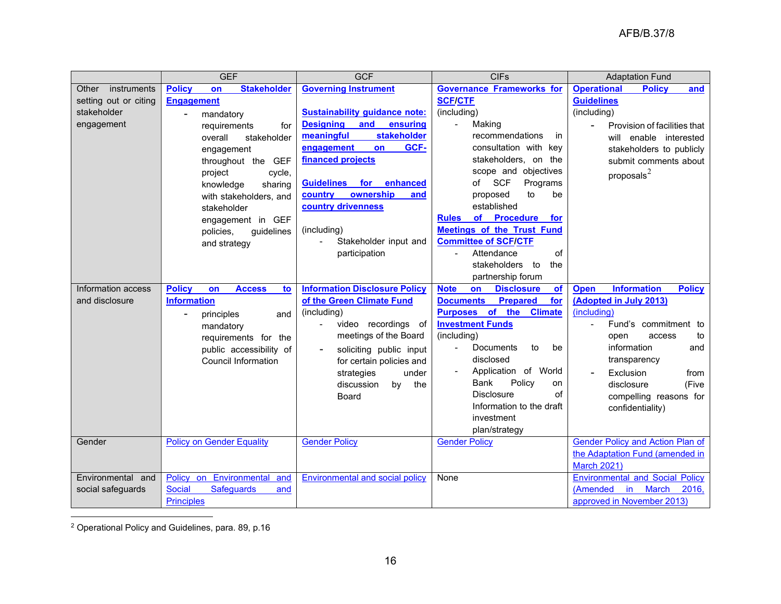<span id="page-15-0"></span>

|                       | <b>GEF</b>                                 | <b>GCF</b>                                      | <b>CIFs</b>                                       | <b>Adaptation Fund</b>                             |  |
|-----------------------|--------------------------------------------|-------------------------------------------------|---------------------------------------------------|----------------------------------------------------|--|
| instruments<br>Other  | <b>Policy</b><br><b>Stakeholder</b><br>on  | <b>Governing Instrument</b>                     | <b>Governance Frameworks for</b>                  | <b>Operational</b><br><b>Policy</b><br>and         |  |
| setting out or citing | <b>Engagement</b>                          |                                                 | <b>SCF/CTF</b>                                    | <b>Guidelines</b>                                  |  |
| stakeholder           | mandatory<br>$\blacksquare$                | <b>Sustainability guidance note:</b>            | (including)                                       | (including)                                        |  |
| engagement            | requirements<br>for                        | <b>Designing</b><br>and<br>ensuring             | Making<br>$\frac{1}{2}$                           | Provision of facilities that                       |  |
|                       | overall<br>stakeholder                     | meaningful<br><b>stakeholder</b>                | recommendations<br>in                             | enable interested<br>will                          |  |
|                       | engagement                                 | GCF-<br>engagement<br>on                        | consultation with key                             | stakeholders to publicly                           |  |
|                       | throughout the GEF                         | financed projects                               | stakeholders, on the                              | submit comments about                              |  |
|                       | project<br>cycle,                          |                                                 | scope and objectives                              | proposals $^2$                                     |  |
|                       | knowledge<br>sharing                       | enhanced<br><b>Guidelines</b><br>for            | <b>SCF</b><br>Programs<br>of                      |                                                    |  |
|                       | with stakeholders, and                     | ownership<br>country<br>and                     | to<br>be<br>proposed                              |                                                    |  |
|                       | stakeholder                                | country drivenness                              | established                                       |                                                    |  |
|                       | engagement in GEF                          |                                                 | of Procedure<br><b>Rules</b><br>for               |                                                    |  |
|                       | policies,<br>guidelines                    | (including)                                     | <b>Meetings of the Trust Fund</b>                 |                                                    |  |
|                       | and strategy                               | Stakeholder input and                           | <b>Committee of SCF/CTF</b>                       |                                                    |  |
|                       |                                            | participation                                   | of<br>Attendance                                  |                                                    |  |
|                       |                                            |                                                 | stakeholders to<br>the                            |                                                    |  |
|                       |                                            |                                                 | partnership forum                                 |                                                    |  |
| Information access    | <b>Policy</b><br><b>Access</b><br>on<br>to | <b>Information Disclosure Policy</b>            | <b>Disclosure</b><br><b>Note</b><br>on<br>of      | <b>Information</b><br><b>Policy</b><br><b>Open</b> |  |
| and disclosure        | <b>Information</b>                         | of the Green Climate Fund                       | <b>Documents</b><br><b>Prepared</b><br>for        | (Adopted in July 2013)                             |  |
|                       | principles<br>$\blacksquare$<br>and        | (including)                                     | Purposes of the<br><b>Climate</b>                 | (including)                                        |  |
|                       | mandatory                                  | video recordings of<br>$\overline{\phantom{a}}$ | <b>Investment Funds</b>                           | Fund's commitment to                               |  |
|                       | requirements for the                       | meetings of the Board                           | (including)                                       | open<br>access<br>to                               |  |
|                       | public accessibility of                    | soliciting public input                         | Documents<br>to<br>be<br>$\overline{\phantom{a}}$ | information<br>and                                 |  |
|                       | <b>Council Information</b>                 | for certain policies and                        | disclosed                                         | transparency                                       |  |
|                       |                                            | strategies<br>under                             | Application of World                              | Exclusion<br>from                                  |  |
|                       |                                            | discussion<br>by<br>the                         | Policy<br><b>Bank</b><br>on                       | (Five<br>disclosure                                |  |
|                       |                                            | <b>Board</b>                                    | <b>Disclosure</b><br>of                           | compelling reasons for                             |  |
|                       |                                            |                                                 | Information to the draft                          | confidentiality)                                   |  |
|                       |                                            |                                                 | investment                                        |                                                    |  |
|                       |                                            |                                                 | plan/strategy                                     |                                                    |  |
| Gender                | <b>Policy on Gender Equality</b>           | <b>Gender Policy</b>                            | <b>Gender Policy</b>                              | <b>Gender Policy and Action Plan of</b>            |  |
|                       |                                            |                                                 |                                                   | the Adaptation Fund (amended in                    |  |
|                       |                                            |                                                 |                                                   | <b>March 2021)</b>                                 |  |
| Environmental and     | Policy on Environmental<br>and             | <b>Environmental and social policy</b>          | None                                              | <b>Environmental and Social Policy</b>             |  |
| social safeguards     | <b>Safeguards</b><br><b>Social</b><br>and  |                                                 |                                                   | (Amended<br>in.<br><b>March</b><br>2016.           |  |
|                       | <b>Principles</b>                          |                                                 |                                                   | approved in November 2013)                         |  |

<sup>2</sup> Operational Policy and Guidelines, para. 89, p.16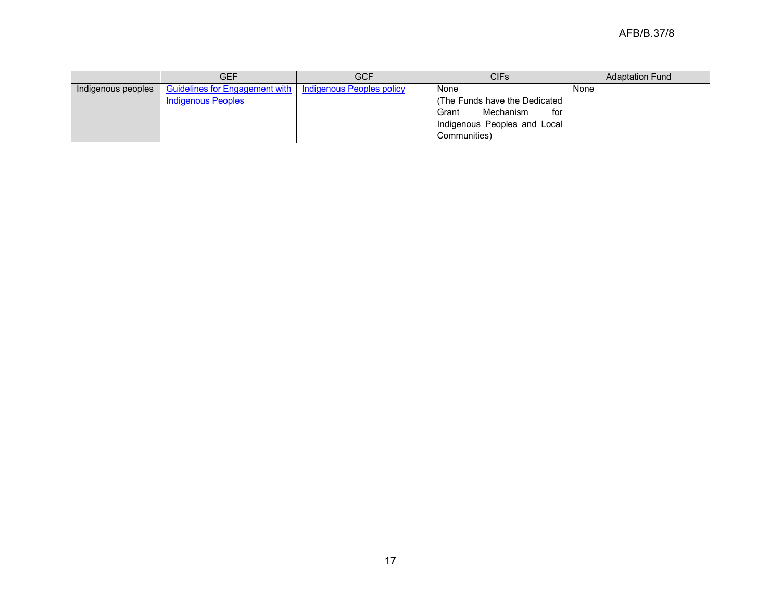|                    | <b>GEF</b>                                                        | <b>GCF</b> | CIFs                           | <b>Adaptation Fund</b> |
|--------------------|-------------------------------------------------------------------|------------|--------------------------------|------------------------|
| Indigenous peoples | <b>Guidelines for Engagement with</b>   Indigenous Peoples policy |            | None                           | None                   |
|                    | <b>Indigenous Peoples</b>                                         |            | (The Funds have the Dedicated) |                        |
|                    |                                                                   |            | Mechanism<br>Grant<br>for      |                        |
|                    |                                                                   |            | Indigenous Peoples and Local   |                        |
|                    |                                                                   |            | Communities)                   |                        |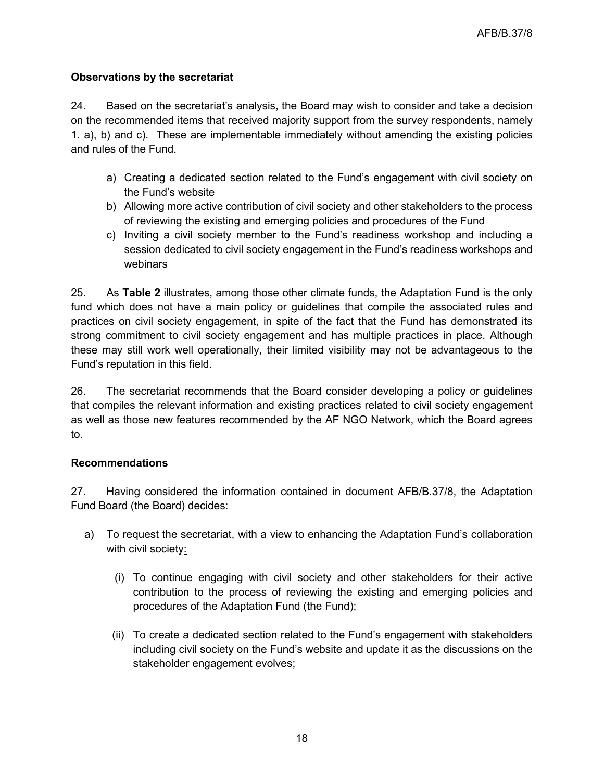## **Observations by the secretariat**

24. Based on the secretariat's analysis, the Board may wish to consider and take a decision on the recommended items that received majority support from the survey respondents, namely 1. a), b) and c). These are implementable immediately without amending the existing policies and rules of the Fund.

- a) Creating a dedicated section related to the Fund's engagement with civil society on the Fund's website
- b) Allowing more active contribution of civil society and other stakeholders to the process of reviewing the existing and emerging policies and procedures of the Fund
- c) Inviting a civil society member to the Fund's readiness workshop and including a session dedicated to civil society engagement in the Fund's readiness workshops and webinars

25. As **Table 2** illustrates, among those other climate funds, the Adaptation Fund is the only fund which does not have a main policy or guidelines that compile the associated rules and practices on civil society engagement, in spite of the fact that the Fund has demonstrated its strong commitment to civil society engagement and has multiple practices in place. Although these may still work well operationally, their limited visibility may not be advantageous to the Fund's reputation in this field.

26. The secretariat recommends that the Board consider developing a policy or guidelines that compiles the relevant information and existing practices related to civil society engagement as well as those new features recommended by the AF NGO Network, which the Board agrees to.

# **Recommendations**

27. Having considered the information contained in document AFB/B.37/8, the Adaptation Fund Board (the Board) decides:

- a) To request the secretariat, with a view to enhancing the Adaptation Fund's collaboration with civil society:
	- (i) To continue engaging with civil society and other stakeholders for their active contribution to the process of reviewing the existing and emerging policies and procedures of the Adaptation Fund (the Fund);
	- (ii) To create a dedicated section related to the Fund's engagement with stakeholders including civil society on the Fund's website and update it as the discussions on the stakeholder engagement evolves;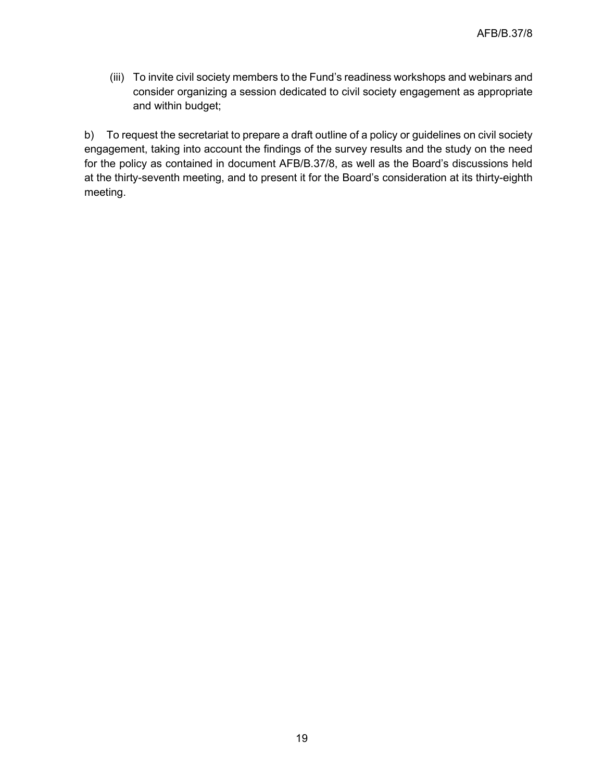(iii) To invite civil society members to the Fund's readiness workshops and webinars and consider organizing a session dedicated to civil society engagement as appropriate and within budget;

b) To request the secretariat to prepare a draft outline of a policy or guidelines on civil society engagement, taking into account the findings of the survey results and the study on the need for the policy as contained in document AFB/B.37/8, as well as the Board's discussions held at the thirty-seventh meeting, and to present it for the Board's consideration at its thirty-eighth meeting.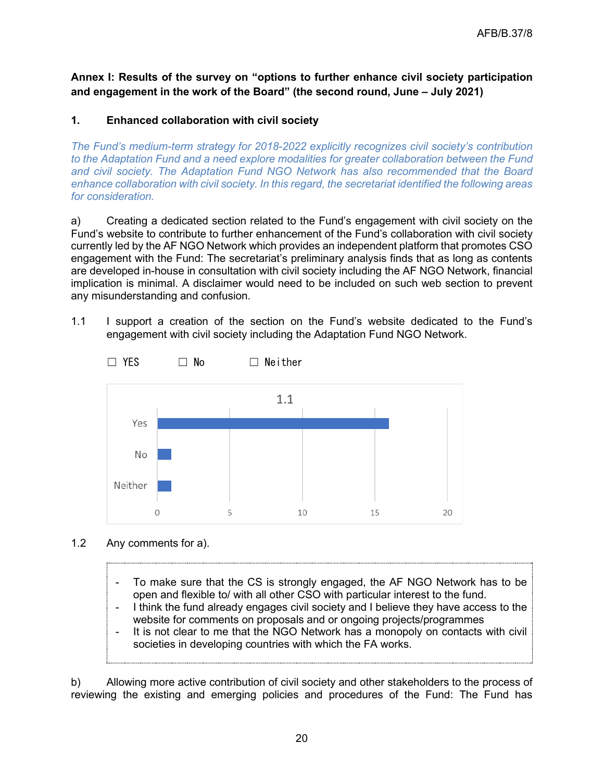**Annex I: Results of the survey on "options to further enhance civil society participation and engagement in the work of the Board" (the second round, June – July 2021)**

## **1. Enhanced collaboration with civil society**

*The Fund's medium-term strategy for 2018-2022 explicitly recognizes civil society's contribution to the Adaptation Fund and a need explore modalities for greater collaboration between the Fund and civil society. The Adaptation Fund NGO Network has also recommended that the Board enhance collaboration with civil society. In this regard, the secretariat identified the following areas for consideration.*

a) Creating a dedicated section related to the Fund's engagement with civil society on the Fund's website to contribute to further enhancement of the Fund's collaboration with civil society currently led by the AF NGO Network which provides an independent platform that promotes CSO engagement with the Fund: The secretariat's preliminary analysis finds that as long as contents are developed in-house in consultation with civil society including the AF NGO Network, financial implication is minimal. A disclaimer would need to be included on such web section to prevent any misunderstanding and confusion.

1.1 I support a creation of the section on the Fund's website dedicated to the Fund's engagement with civil society including the Adaptation Fund NGO Network.



- 1.2 Any comments for a).
	- To make sure that the CS is strongly engaged, the AF NGO Network has to be open and flexible to/ with all other CSO with particular interest to the fund.
	- I think the fund already engages civil society and I believe they have access to the website for comments on proposals and or ongoing projects/programmes
	- It is not clear to me that the NGO Network has a monopoly on contacts with civil societies in developing countries with which the FA works.

b) Allowing more active contribution of civil society and other stakeholders to the process of reviewing the existing and emerging policies and procedures of the Fund: The Fund has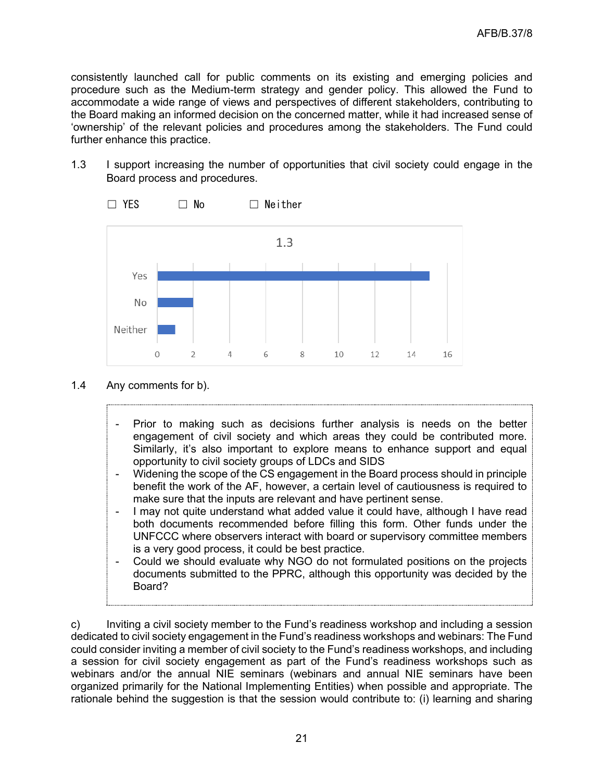consistently launched call for public comments on its existing and emerging policies and procedure such as the Medium-term strategy and gender policy. This allowed the Fund to accommodate a wide range of views and perspectives of different stakeholders, contributing to the Board making an informed decision on the concerned matter, while it had increased sense of 'ownership' of the relevant policies and procedures among the stakeholders. The Fund could further enhance this practice.

1.3 I support increasing the number of opportunities that civil society could engage in the Board process and procedures.



- 1.4 Any comments for b).
	- Prior to making such as decisions further analysis is needs on the better engagement of civil society and which areas they could be contributed more. Similarly, it's also important to explore means to enhance support and equal opportunity to civil society groups of LDCs and SIDS
	- Widening the scope of the CS engagement in the Board process should in principle benefit the work of the AF, however, a certain level of cautiousness is required to make sure that the inputs are relevant and have pertinent sense.
	- I may not quite understand what added value it could have, although I have read both documents recommended before filling this form. Other funds under the UNFCCC where observers interact with board or supervisory committee members is a very good process, it could be best practice.
	- Could we should evaluate why NGO do not formulated positions on the projects documents submitted to the PPRC, although this opportunity was decided by the Board?

c) Inviting a civil society member to the Fund's readiness workshop and including a session dedicated to civil society engagement in the Fund's readiness workshops and webinars: The Fund could consider inviting a member of civil society to the Fund's readiness workshops, and including a session for civil society engagement as part of the Fund's readiness workshops such as webinars and/or the annual NIE seminars (webinars and annual NIE seminars have been organized primarily for the National Implementing Entities) when possible and appropriate. The rationale behind the suggestion is that the session would contribute to: (i) learning and sharing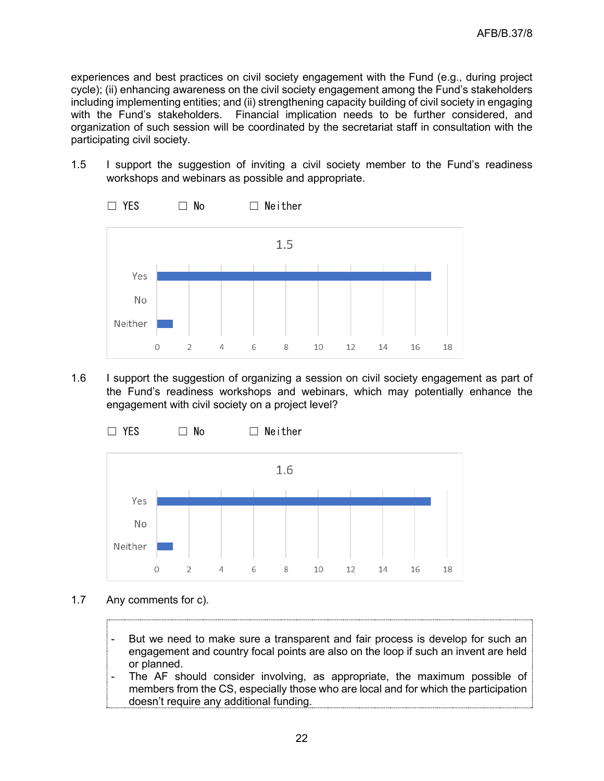experiences and best practices on civil society engagement with the Fund (e.g., during project cycle); (ii) enhancing awareness on the civil society engagement among the Fund's stakeholders including implementing entities; and (ii) strengthening capacity building of civil society in engaging with the Fund's stakeholders. Financial implication needs to be further considered, and organization of such session will be coordinated by the secretariat staff in consultation with the participating civil society.

1.5 I support the suggestion of inviting a civil society member to the Fund's readiness workshops and webinars as possible and appropriate.



1.6 I support the suggestion of organizing a session on civil society engagement as part of the Fund's readiness workshops and webinars, which may potentially enhance the engagement with civil society on a project level?



- 1.7 Any comments for c).
	- But we need to make sure a transparent and fair process is develop for such an engagement and country focal points are also on the loop if such an invent are held or planned.
	- The AF should consider involving, as appropriate, the maximum possible of members from the CS, especially those who are local and for which the participation doesn't require any additional funding.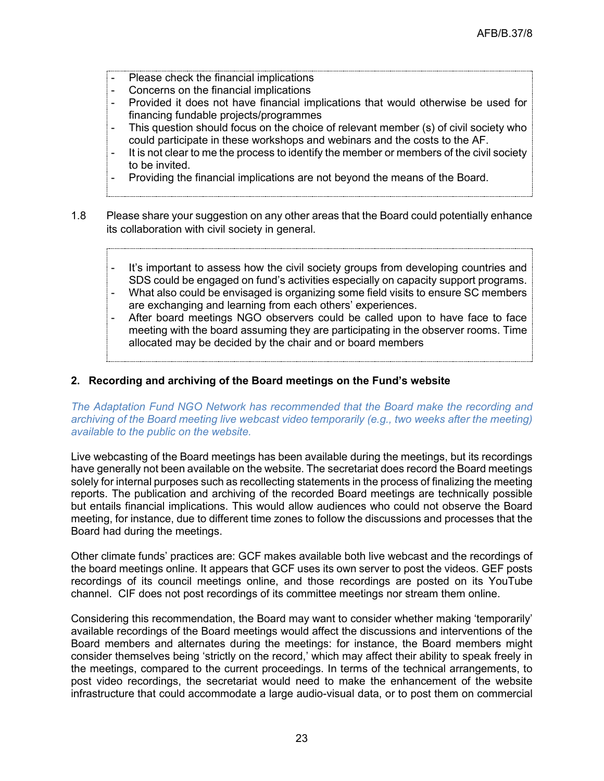- Please check the financial implications
- Concerns on the financial implications
- Provided it does not have financial implications that would otherwise be used for financing fundable projects/programmes
- This question should focus on the choice of relevant member (s) of civil society who could participate in these workshops and webinars and the costs to the AF.
- It is not clear to me the process to identify the member or members of the civil society to be invited.
- Providing the financial implications are not beyond the means of the Board.
- 1.8 Please share your suggestion on any other areas that the Board could potentially enhance its collaboration with civil society in general.
	- It's important to assess how the civil society groups from developing countries and SDS could be engaged on fund's activities especially on capacity support programs.
	- What also could be envisaged is organizing some field visits to ensure SC members are exchanging and learning from each others' experiences.
	- After board meetings NGO observers could be called upon to have face to face meeting with the board assuming they are participating in the observer rooms. Time allocated may be decided by the chair and or board members

## **2. Recording and archiving of the Board meetings on the Fund's website**

*The Adaptation Fund NGO Network has recommended that the Board make the recording and archiving of the Board meeting live webcast video temporarily (e.g., two weeks after the meeting) available to the public on the website.*

Live webcasting of the Board meetings has been available during the meetings, but its recordings have generally not been available on the website. The secretariat does record the Board meetings solely for internal purposes such as recollecting statements in the process of finalizing the meeting reports. The publication and archiving of the recorded Board meetings are technically possible but entails financial implications. This would allow audiences who could not observe the Board meeting, for instance, due to different time zones to follow the discussions and processes that the Board had during the meetings.

Other climate funds' practices are: GCF makes available both live webcast and the recordings of the board meetings online. It appears that GCF uses its own server to post the videos. GEF posts recordings of its council meetings online, and those recordings are posted on its YouTube channel. CIF does not post recordings of its committee meetings nor stream them online.

Considering this recommendation, the Board may want to consider whether making 'temporarily' available recordings of the Board meetings would affect the discussions and interventions of the Board members and alternates during the meetings: for instance, the Board members might consider themselves being 'strictly on the record,' which may affect their ability to speak freely in the meetings, compared to the current proceedings. In terms of the technical arrangements, to post video recordings, the secretariat would need to make the enhancement of the website infrastructure that could accommodate a large audio-visual data, or to post them on commercial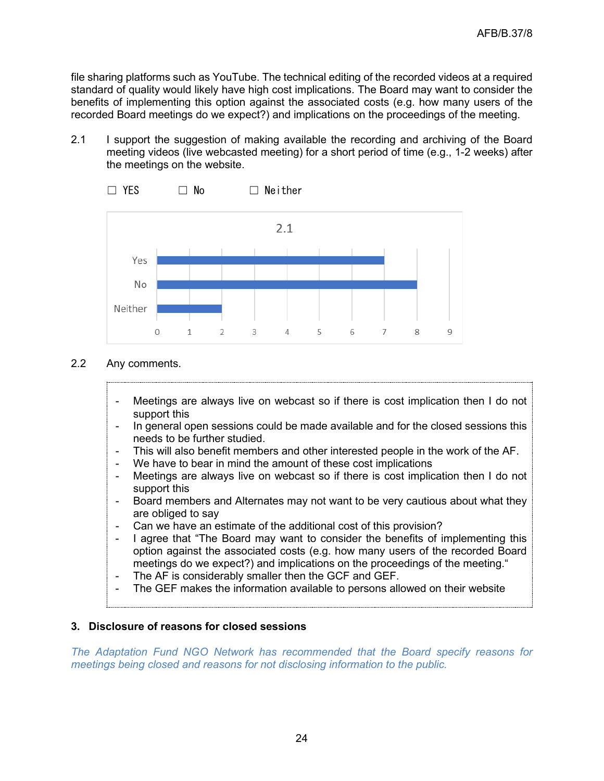file sharing platforms such as YouTube. The technical editing of the recorded videos at a required standard of quality would likely have high cost implications. The Board may want to consider the benefits of implementing this option against the associated costs (e.g. how many users of the recorded Board meetings do we expect?) and implications on the proceedings of the meeting.

2.1 I support the suggestion of making available the recording and archiving of the Board meeting videos (live webcasted meeting) for a short period of time (e.g., 1-2 weeks) after the meetings on the website.



- 2.2 Any comments.
	- Meetings are always live on webcast so if there is cost implication then I do not support this
	- In general open sessions could be made available and for the closed sessions this needs to be further studied.
	- This will also benefit members and other interested people in the work of the AF.
	- We have to bear in mind the amount of these cost implications
	- Meetings are always live on webcast so if there is cost implication then I do not support this
	- Board members and Alternates may not want to be very cautious about what they are obliged to say
	- Can we have an estimate of the additional cost of this provision?
	- I agree that "The Board may want to consider the benefits of implementing this option against the associated costs (e.g. how many users of the recorded Board meetings do we expect?) and implications on the proceedings of the meeting."
	- The AF is considerably smaller then the GCF and GEF.
	- The GEF makes the information available to persons allowed on their website

# **3. Disclosure of reasons for closed sessions**

*The Adaptation Fund NGO Network has recommended that the Board specify reasons for meetings being closed and reasons for not disclosing information to the public.*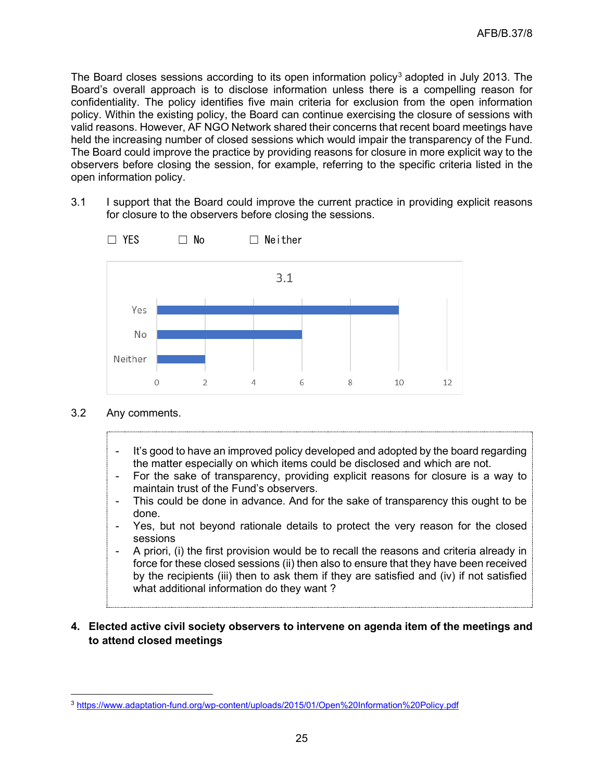The Board closes sessions according to its open information policy<sup>[3](#page-24-0)</sup> adopted in July 2013. The Board's overall approach is to disclose information unless there is a compelling reason for confidentiality. The policy identifies five main criteria for exclusion from the open information policy. Within the existing policy, the Board can continue exercising the closure of sessions with valid reasons. However, AF NGO Network shared their concerns that recent board meetings have held the increasing number of closed sessions which would impair the transparency of the Fund. The Board could improve the practice by providing reasons for closure in more explicit way to the observers before closing the session, for example, referring to the specific criteria listed in the open information policy.

3.1 I support that the Board could improve the current practice in providing explicit reasons for closure to the observers before closing the sessions.



#### 3.2 Any comments.

- It's good to have an improved policy developed and adopted by the board regarding the matter especially on which items could be disclosed and which are not.
- For the sake of transparency, providing explicit reasons for closure is a way to maintain trust of the Fund's observers.
- This could be done in advance. And for the sake of transparency this ought to be done.
- Yes, but not beyond rationale details to protect the very reason for the closed sessions
- A priori, (i) the first provision would be to recall the reasons and criteria already in force for these closed sessions (ii) then also to ensure that they have been received by the recipients (iii) then to ask them if they are satisfied and (iv) if not satisfied what additional information do they want ?
- **4. Elected active civil society observers to intervene on agenda item of the meetings and to attend closed meetings**

<span id="page-24-0"></span><sup>3</sup> <https://www.adaptation-fund.org/wp-content/uploads/2015/01/Open%20Information%20Policy.pdf>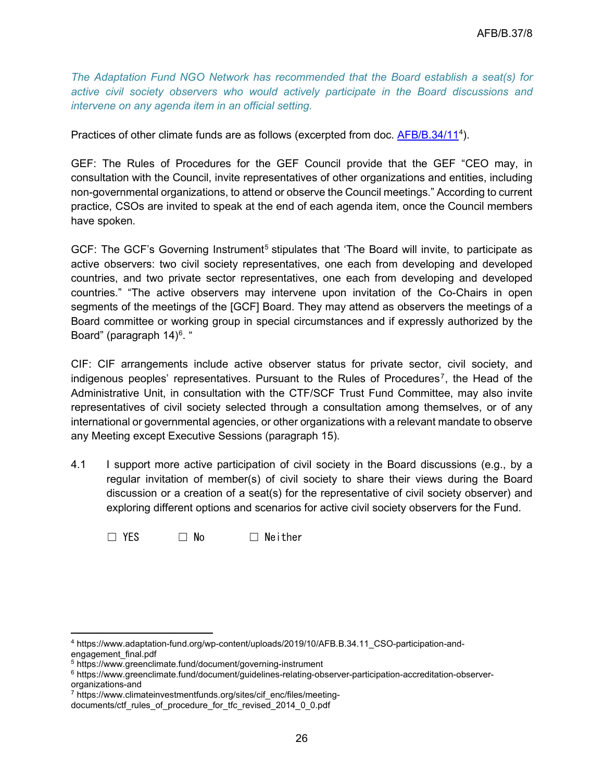*The Adaptation Fund NGO Network has recommended that the Board establish a seat(s) for active civil society observers who would actively participate in the Board discussions and intervene on any agenda item in an official setting.*

Practices of other climate funds are as follows (excerpted from doc. <u>AFB/B.3[4](#page-25-0)/11</u><sup>4</sup>).

GEF: The Rules of Procedures for the GEF Council provide that the GEF "CEO may, in consultation with the Council, invite representatives of other organizations and entities, including non-governmental organizations, to attend or observe the Council meetings." According to current practice, CSOs are invited to speak at the end of each agenda item, once the Council members have spoken.

GCF: The GCF's Governing Instrument<sup>[5](#page-25-1)</sup> stipulates that 'The Board will invite, to participate as active observers: two civil society representatives, one each from developing and developed countries, and two private sector representatives, one each from developing and developed countries." "The active observers may intervene upon invitation of the Co-Chairs in open segments of the meetings of the [GCF] Board. They may attend as observers the meetings of a Board committee or working group in special circumstances and if expressly authorized by the Board" (paragraph 14)<sup>[6](#page-25-2)</sup>. "

CIF: CIF arrangements include active observer status for private sector, civil society, and indigenous peoples' representatives. Pursuant to the Rules of Procedures<sup>[7](#page-25-3)</sup>, the Head of the Administrative Unit, in consultation with the CTF/SCF Trust Fund Committee, may also invite representatives of civil society selected through a consultation among themselves, or of any international or governmental agencies, or other organizations with a relevant mandate to observe any Meeting except Executive Sessions (paragraph 15).

4.1 I support more active participation of civil society in the Board discussions (e.g., by a regular invitation of member(s) of civil society to share their views during the Board discussion or a creation of a seat(s) for the representative of civil society observer) and exploring different options and scenarios for active civil society observers for the Fund.

☐ YES ☐ No ☐ Neither

<span id="page-25-0"></span><sup>4</sup> https://www.adaptation-fund.org/wp-content/uploads/2019/10/AFB.B.34.11\_CSO-participation-andengagement\_final.pdf

<span id="page-25-1"></span><sup>5</sup> https://www.greenclimate.fund/document/governing-instrument

<span id="page-25-2"></span><sup>6</sup> https://www.greenclimate.fund/document/guidelines-relating-observer-participation-accreditation-observerorganizations-and

<span id="page-25-3"></span><sup>7</sup> https://www.climateinvestmentfunds.org/sites/cif\_enc/files/meeting-

documents/ctf\_rules\_of\_procedure\_for\_tfc\_revised\_2014\_0\_0.pdf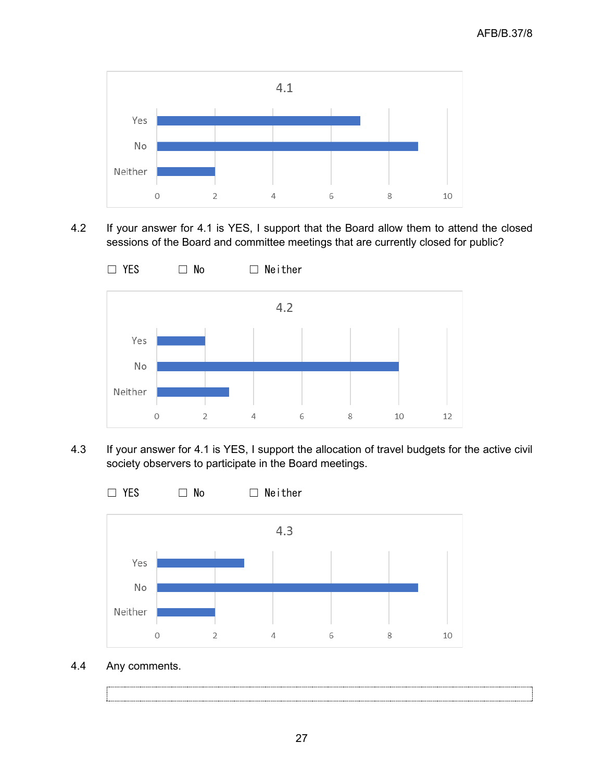

4.2 If your answer for 4.1 is YES, I support that the Board allow them to attend the closed sessions of the Board and committee meetings that are currently closed for public?



4.3 If your answer for 4.1 is YES, I support the allocation of travel budgets for the active civil society observers to participate in the Board meetings.



4.4 Any comments.

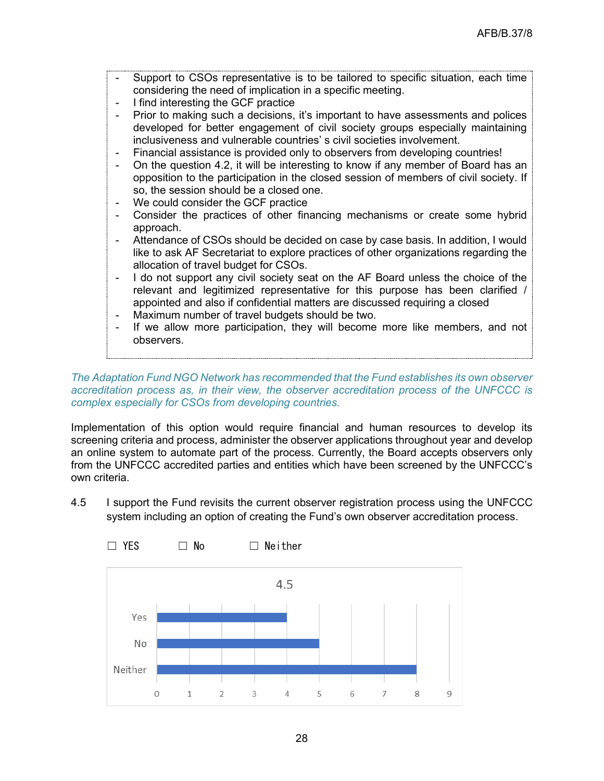- Support to CSOs representative is to be tailored to specific situation, each time considering the need of implication in a specific meeting.
- I find interesting the GCF practice
- Prior to making such a decisions, it's important to have assessments and polices developed for better engagement of civil society groups especially maintaining inclusiveness and vulnerable countries' s civil societies involvement.
- Financial assistance is provided only to observers from developing countries!
- On the question 4.2, it will be interesting to know if any member of Board has an opposition to the participation in the closed session of members of civil society. If so, the session should be a closed one.
- We could consider the GCF practice
- Consider the practices of other financing mechanisms or create some hybrid approach.
- Attendance of CSOs should be decided on case by case basis. In addition, I would like to ask AF Secretariat to explore practices of other organizations regarding the allocation of travel budget for CSOs.
- I do not support any civil society seat on the AF Board unless the choice of the relevant and legitimized representative for this purpose has been clarified / appointed and also if confidential matters are discussed requiring a closed
- Maximum number of travel budgets should be two.
- If we allow more participation, they will become more like members, and not observers.

*The Adaptation Fund NGO Network has recommended that the Fund establishes its own observer accreditation process as, in their view, the observer accreditation process of the UNFCCC is complex especially for CSOs from developing countries.*

Implementation of this option would require financial and human resources to develop its screening criteria and process, administer the observer applications throughout year and develop an online system to automate part of the process. Currently, the Board accepts observers only from the UNFCCC accredited parties and entities which have been screened by the UNFCCC's own criteria.

4.5 I support the Fund revisits the current observer registration process using the UNFCCC system including an option of creating the Fund's own observer accreditation process.

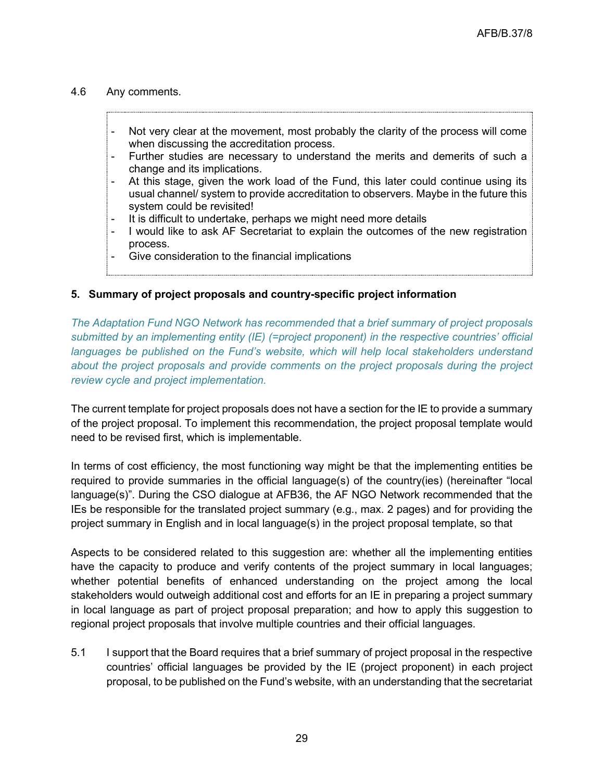#### 4.6 Any comments.

- Not very clear at the movement, most probably the clarity of the process will come when discussing the accreditation process.
- Further studies are necessary to understand the merits and demerits of such a change and its implications.
- At this stage, given the work load of the Fund, this later could continue using its usual channel/ system to provide accreditation to observers. Maybe in the future this system could be revisited!
- It is difficult to undertake, perhaps we might need more details
- I would like to ask AF Secretariat to explain the outcomes of the new registration process.
- Give consideration to the financial implications

#### **5. Summary of project proposals and country-specific project information**

*The Adaptation Fund NGO Network has recommended that a brief summary of project proposals submitted by an implementing entity (IE) (=project proponent) in the respective countries' official*  languages be published on the Fund's website, which will help local stakeholders understand *about the project proposals and provide comments on the project proposals during the project review cycle and project implementation.* 

The current template for project proposals does not have a section for the IE to provide a summary of the project proposal. To implement this recommendation, the project proposal template would need to be revised first, which is implementable.

In terms of cost efficiency, the most functioning way might be that the implementing entities be required to provide summaries in the official language(s) of the country(ies) (hereinafter "local language(s)". During the CSO dialogue at AFB36, the AF NGO Network recommended that the IEs be responsible for the translated project summary (e.g., max. 2 pages) and for providing the project summary in English and in local language(s) in the project proposal template, so that

Aspects to be considered related to this suggestion are: whether all the implementing entities have the capacity to produce and verify contents of the project summary in local languages; whether potential benefits of enhanced understanding on the project among the local stakeholders would outweigh additional cost and efforts for an IE in preparing a project summary in local language as part of project proposal preparation; and how to apply this suggestion to regional project proposals that involve multiple countries and their official languages.

5.1 I support that the Board requires that a brief summary of project proposal in the respective countries' official languages be provided by the IE (project proponent) in each project proposal, to be published on the Fund's website, with an understanding that the secretariat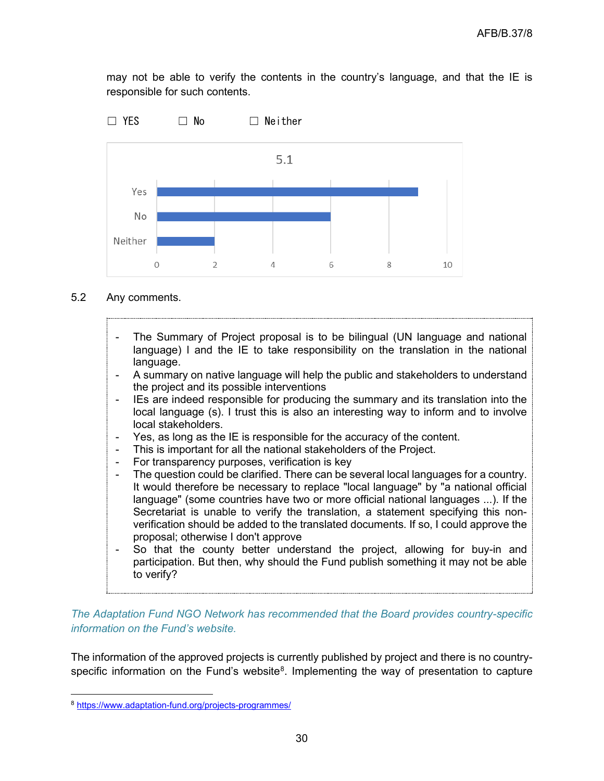may not be able to verify the contents in the country's language, and that the IE is responsible for such contents.



 $\overline{\mathcal{A}}$ 

#### 5.2 Any comments.

Neither

 $\Omega$ 

 $\overline{\phantom{a}}$ 

The Summary of Project proposal is to be bilingual (UN language and national language) l and the IE to take responsibility on the translation in the national language.

6

8

10

- A summary on native language will help the public and stakeholders to understand the project and its possible interventions
- IEs are indeed responsible for producing the summary and its translation into the local language (s). I trust this is also an interesting way to inform and to involve local stakeholders.
- Yes, as long as the IE is responsible for the accuracy of the content.
- This is important for all the national stakeholders of the Project.
- For transparency purposes, verification is key
- The question could be clarified. There can be several local languages for a country. It would therefore be necessary to replace "local language" by "a national official language" (some countries have two or more official national languages ...). If the Secretariat is unable to verify the translation, a statement specifying this nonverification should be added to the translated documents. If so, I could approve the proposal; otherwise I don't approve
- So that the county better understand the project, allowing for buy-in and participation. But then, why should the Fund publish something it may not be able to verify?

*The Adaptation Fund NGO Network has recommended that the Board provides country-specific information on the Fund's website.*

The information of the approved projects is currently published by project and there is no countryspecific information on the Fund's website $8$ . Implementing the way of presentation to capture

<span id="page-29-0"></span><sup>8</sup> <https://www.adaptation-fund.org/projects-programmes/>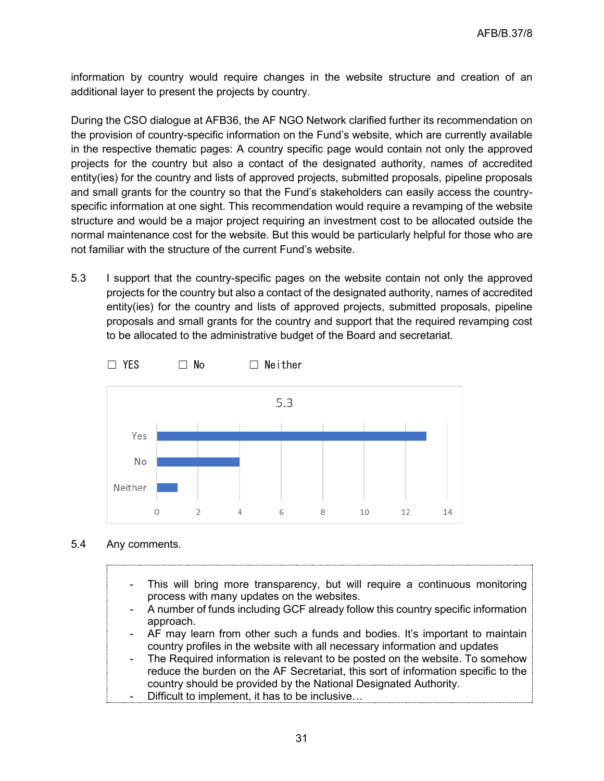information by country would require changes in the website structure and creation of an additional layer to present the projects by country.

During the CSO dialogue at AFB36, the AF NGO Network clarified further its recommendation on the provision of country-specific information on the Fund's website, which are currently available in the respective thematic pages: A country specific page would contain not only the approved projects for the country but also a contact of the designated authority, names of accredited entity(ies) for the country and lists of approved projects, submitted proposals, pipeline proposals and small grants for the country so that the Fund's stakeholders can easily access the countryspecific information at one sight. This recommendation would require a revamping of the website structure and would be a major project requiring an investment cost to be allocated outside the normal maintenance cost for the website. But this would be particularly helpful for those who are not familiar with the structure of the current Fund's website.

5.3 I support that the country-specific pages on the website contain not only the approved projects for the country but also a contact of the designated authority, names of accredited entity(ies) for the country and lists of approved projects, submitted proposals, pipeline proposals and small grants for the country and support that the required revamping cost to be allocated to the administrative budget of the Board and secretariat.



#### 5.4 Any comments.

- This will bring more transparency, but will require a continuous monitoring process with many updates on the websites.
- A number of funds including GCF already follow this country specific information approach.
- AF may learn from other such a funds and bodies. It's important to maintain country profiles in the website with all necessary information and updates
- The Required information is relevant to be posted on the website. To somehow reduce the burden on the AF Secretariat, this sort of information specific to the country should be provided by the National Designated Authority.
- Difficult to implement, it has to be inclusive...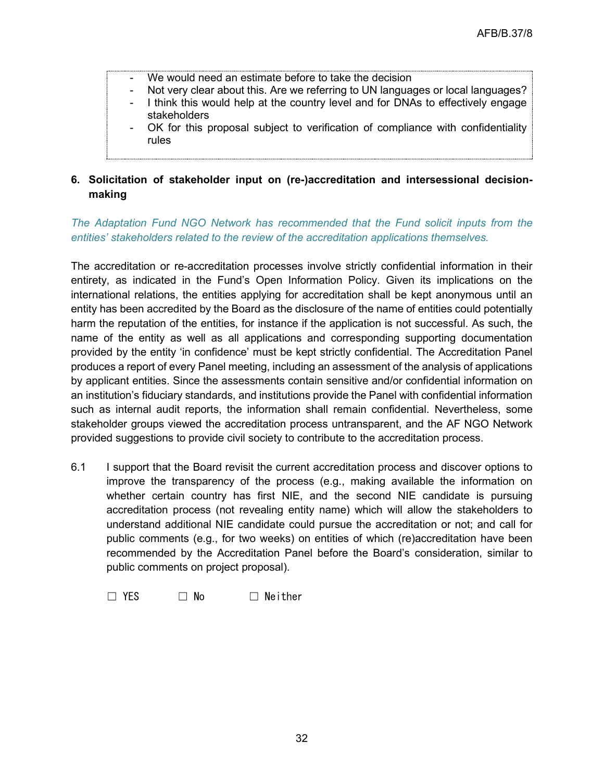- We would need an estimate before to take the decision
- Not very clear about this. Are we referring to UN languages or local languages?
- I think this would help at the country level and for DNAs to effectively engage stakeholders
- OK for this proposal subject to verification of compliance with confidentiality rules

# **6. Solicitation of stakeholder input on (re-)accreditation and intersessional decisionmaking**

## *The Adaptation Fund NGO Network has recommended that the Fund solicit inputs from the entities' stakeholders related to the review of the accreditation applications themselves.*

The accreditation or re-accreditation processes involve strictly confidential information in their entirety, as indicated in the Fund's Open Information Policy. Given its implications on the international relations, the entities applying for accreditation shall be kept anonymous until an entity has been accredited by the Board as the disclosure of the name of entities could potentially harm the reputation of the entities, for instance if the application is not successful. As such, the name of the entity as well as all applications and corresponding supporting documentation provided by the entity 'in confidence' must be kept strictly confidential. The Accreditation Panel produces a report of every Panel meeting, including an assessment of the analysis of applications by applicant entities. Since the assessments contain sensitive and/or confidential information on an institution's fiduciary standards, and institutions provide the Panel with confidential information such as internal audit reports, the information shall remain confidential. Nevertheless, some stakeholder groups viewed the accreditation process untransparent, and the AF NGO Network provided suggestions to provide civil society to contribute to the accreditation process.

- 6.1 I support that the Board revisit the current accreditation process and discover options to improve the transparency of the process (e.g., making available the information on whether certain country has first NIE, and the second NIE candidate is pursuing accreditation process (not revealing entity name) which will allow the stakeholders to understand additional NIE candidate could pursue the accreditation or not; and call for public comments (e.g., for two weeks) on entities of which (re)accreditation have been recommended by the Accreditation Panel before the Board's consideration, similar to public comments on project proposal).
	- $\Box$  YES  $\Box$  No  $\Box$  Neither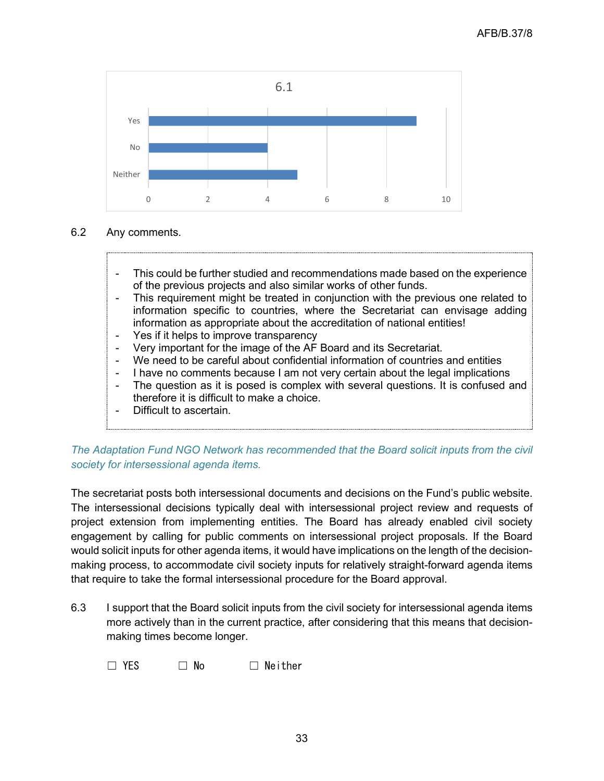

## 6.2 Any comments.

- This could be further studied and recommendations made based on the experience of the previous projects and also similar works of other funds.
- This requirement might be treated in conjunction with the previous one related to information specific to countries, where the Secretariat can envisage adding information as appropriate about the accreditation of national entities!
- Yes if it helps to improve transparency
- Very important for the image of the AF Board and its Secretariat.
- We need to be careful about confidential information of countries and entities
- I have no comments because I am not very certain about the legal implications
- The question as it is posed is complex with several questions. It is confused and therefore it is difficult to make a choice.
- Difficult to ascertain.

*The Adaptation Fund NGO Network has recommended that the Board solicit inputs from the civil society for intersessional agenda items.*

The secretariat posts both intersessional documents and decisions on the Fund's public website. The intersessional decisions typically deal with intersessional project review and requests of project extension from implementing entities. The Board has already enabled civil society engagement by calling for public comments on intersessional project proposals. If the Board would solicit inputs for other agenda items, it would have implications on the length of the decisionmaking process, to accommodate civil society inputs for relatively straight-forward agenda items that require to take the formal intersessional procedure for the Board approval.

6.3 I support that the Board solicit inputs from the civil society for intersessional agenda items more actively than in the current practice, after considering that this means that decisionmaking times become longer.

☐ YES ☐ No ☐ Neither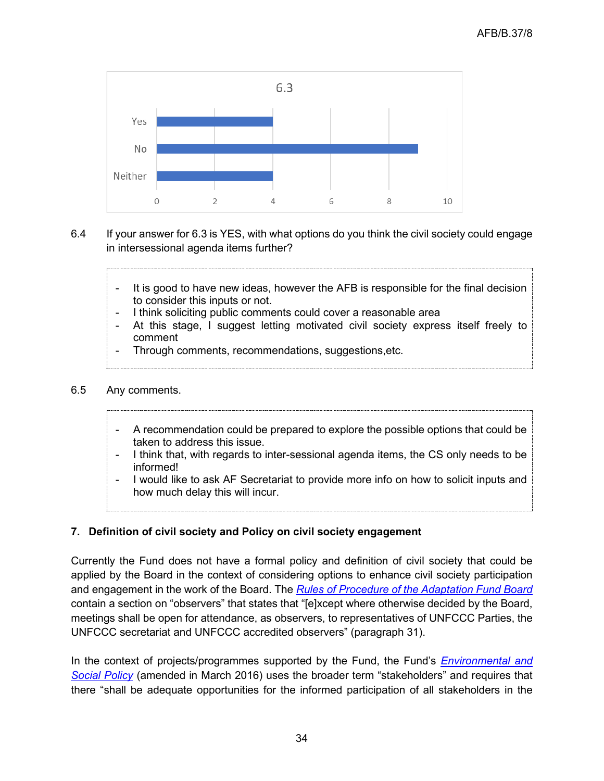

- 6.4 If your answer for 6.3 is YES, with what options do you think the civil society could engage in intersessional agenda items further?
	- It is good to have new ideas, however the AFB is responsible for the final decision to consider this inputs or not.
	- I think soliciting public comments could cover a reasonable area
	- At this stage, I suggest letting motivated civil society express itself freely to comment
	- Through comments, recommendations, suggestions, etc.

#### 6.5 Any comments.

- A recommendation could be prepared to explore the possible options that could be taken to address this issue.
- I think that, with regards to inter-sessional agenda items, the CS only needs to be informed!
- I would like to ask AF Secretariat to provide more info on how to solicit inputs and how much delay this will incur.

# **7. Definition of civil society and Policy on civil society engagement**

Currently the Fund does not have a formal policy and definition of civil society that could be applied by the Board in the context of considering options to enhance civil society participation and engagement in the work of the Board. The *[Rules of Procedure of the Adaptation Fund Board](https://www.adaptation-fund.org/document/rules-procedure-adaptation-fund-board/)* contain a section on "observers" that states that "[e]xcept where otherwise decided by the Board, meetings shall be open for attendance, as observers, to representatives of UNFCCC Parties, the UNFCCC secretariat and UNFCCC accredited observers" (paragraph 31).

In the context of projects/programmes supported by the Fund, the Fund's *[Environmental and](https://www.adaptation-fund.org/document/environmental-and-social-policy-approved-in-november-2013/)  [Social Policy](https://www.adaptation-fund.org/document/environmental-and-social-policy-approved-in-november-2013/)* (amended in March 2016) uses the broader term "stakeholders" and requires that there "shall be adequate opportunities for the informed participation of all stakeholders in the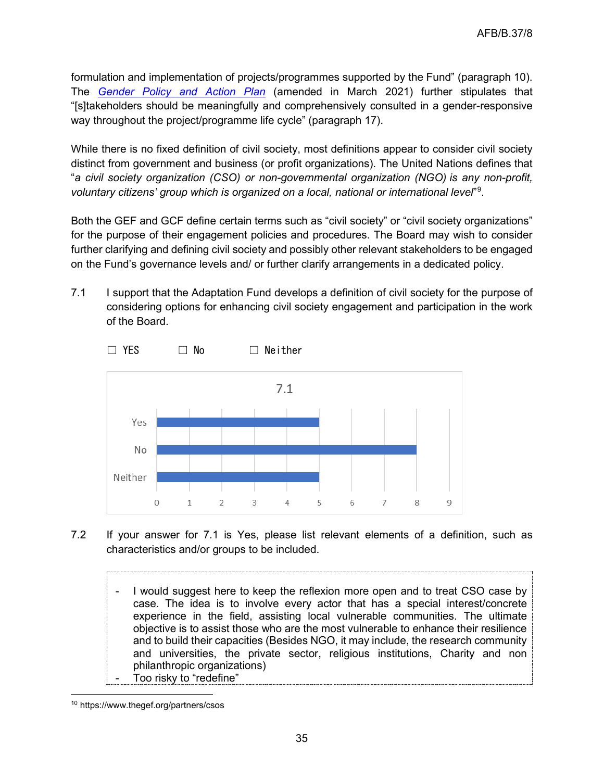formulation and implementation of projects/programmes supported by the Fund" (paragraph 10). The *[Gender Policy and Action Plan](https://www.adaptation-fund.org/document/opg-annex4-gender-policy/)* (amended in March 2021) further stipulates that "[s]takeholders should be meaningfully and comprehensively consulted in a gender-responsive way throughout the project/programme life cycle" (paragraph 17).

While there is no fixed definition of civil society, most definitions appear to consider civil society distinct from government and business (or profit organizations). The United Nations defines that "*a civil society organization (CSO) or non-governmental organization (NGO) is any non-profit, voluntary citizens' group which is organized on a local, national or international level*"[9](#page-34-0) .

Both the GEF and GCF define certain terms such as "civil society" or "civil society organizations" for the purpose of their engagement policies and procedures. The Board may wish to consider further clarifying and defining civil society and possibly other relevant stakeholders to be engaged on the Fund's governance levels and/ or further clarify arrangements in a dedicated policy.

7.1 I support that the Adaptation Fund develops a definition of civil society for the purpose of considering options for enhancing civil society engagement and participation in the work of the Board.



7.2 If your answer for 7.1 is Yes, please list relevant elements of a definition, such as characteristics and/or groups to be included.

I would suggest here to keep the reflexion more open and to treat CSO case by case. The idea is to involve every actor that has a special interest/concrete experience in the field, assisting local vulnerable communities. The ultimate objective is to assist those who are the most vulnerable to enhance their resilience and to build their capacities (Besides NGO, it may include, the research community and universities, the private sector, religious institutions, Charity and non philanthropic organizations) Too risky to "redefine"

<span id="page-34-0"></span><sup>10</sup> https://www.thegef.org/partners/csos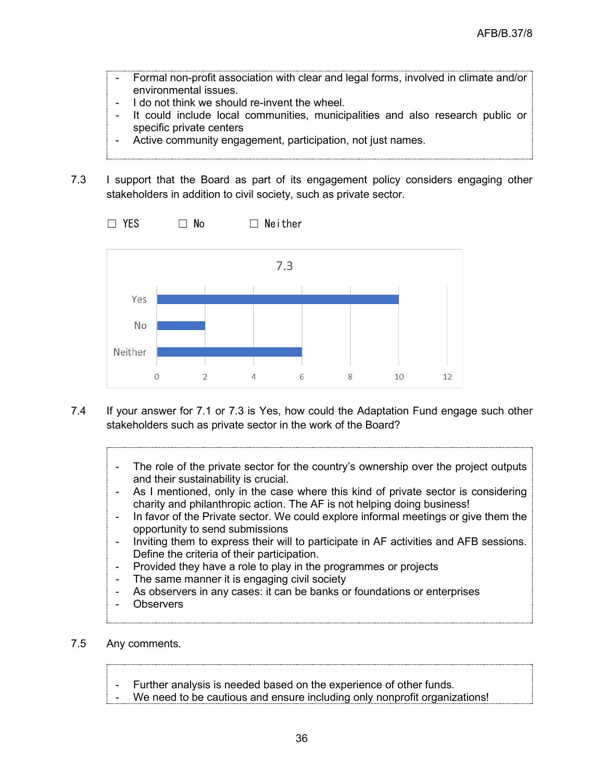- Formal non-profit association with clear and legal forms, involved in climate and/or environmental issues.
- I do not think we should re-invent the wheel.
- It could include local communities, municipalities and also research public or specific private centers
- Active community engagement, participation, not just names.
- 7.3 I support that the Board as part of its engagement policy considers engaging other stakeholders in addition to civil society, such as private sector.



- 7.4 If your answer for 7.1 or 7.3 is Yes, how could the Adaptation Fund engage such other stakeholders such as private sector in the work of the Board?
	- The role of the private sector for the country's ownership over the project outputs and their sustainability is crucial.
	- As I mentioned, only in the case where this kind of private sector is considering charity and philanthropic action. The AF is not helping doing business!
	- In favor of the Private sector. We could explore informal meetings or give them the opportunity to send submissions
	- Inviting them to express their will to participate in AF activities and AFB sessions. Define the criteria of their participation.
	- Provided they have a role to play in the programmes or projects
	- The same manner it is engaging civil society
	- As observers in any cases: it can be banks or foundations or enterprises
	- **Observers**
- 7.5 Any comments.
	- Further analysis is needed based on the experience of other funds.
	- We need to be cautious and ensure including only nonprofit organizations!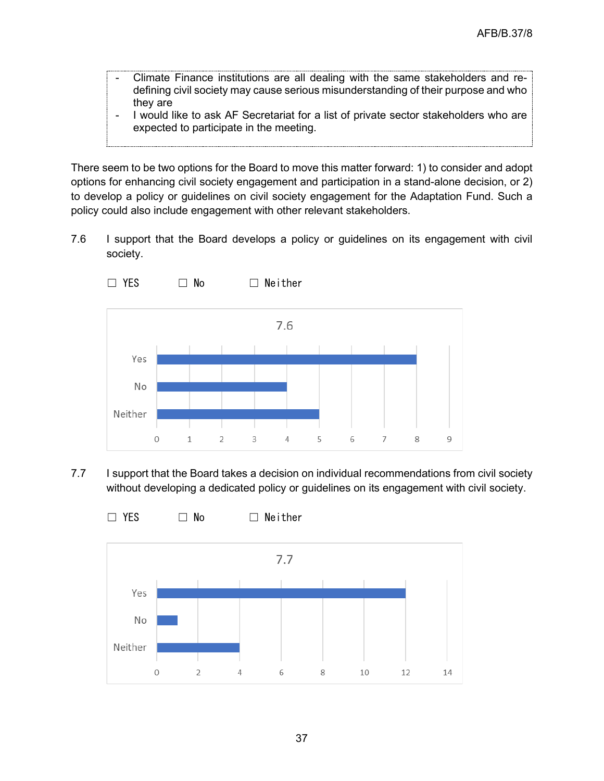- Climate Finance institutions are all dealing with the same stakeholders and redefining civil society may cause serious misunderstanding of their purpose and who they are
- I would like to ask AF Secretariat for a list of private sector stakeholders who are expected to participate in the meeting.

There seem to be two options for the Board to move this matter forward: 1) to consider and adopt options for enhancing civil society engagement and participation in a stand-alone decision, or 2) to develop a policy or guidelines on civil society engagement for the Adaptation Fund. Such a policy could also include engagement with other relevant stakeholders.

7.6 I support that the Board develops a policy or guidelines on its engagement with civil society.



7.7 I support that the Board takes a decision on individual recommendations from civil society without developing a dedicated policy or guidelines on its engagement with civil society.

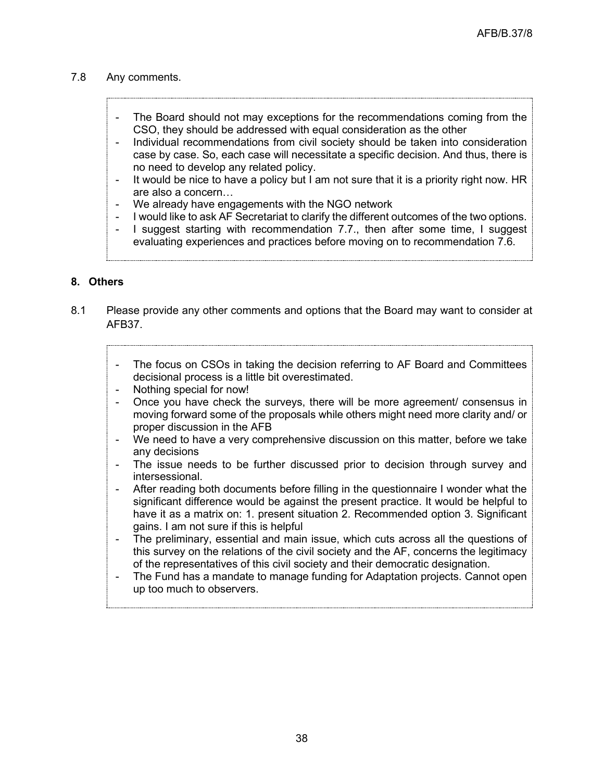#### 7.8 Any comments.

- The Board should not may exceptions for the recommendations coming from the CSO, they should be addressed with equal consideration as the other
- Individual recommendations from civil society should be taken into consideration case by case. So, each case will necessitate a specific decision. And thus, there is no need to develop any related policy.
- It would be nice to have a policy but I am not sure that it is a priority right now. HR are also a concern…
- We already have engagements with the NGO network
- I would like to ask AF Secretariat to clarify the different outcomes of the two options.
- I suggest starting with recommendation 7.7., then after some time, I suggest evaluating experiences and practices before moving on to recommendation 7.6.

#### **8. Others**

- 8.1 Please provide any other comments and options that the Board may want to consider at AFB37.
	- The focus on CSOs in taking the decision referring to AF Board and Committees decisional process is a little bit overestimated.
	- Nothing special for now!
	- Once you have check the surveys, there will be more agreement/ consensus in moving forward some of the proposals while others might need more clarity and/ or proper discussion in the AFB
	- We need to have a very comprehensive discussion on this matter, before we take any decisions
	- The issue needs to be further discussed prior to decision through survey and intersessional.
	- After reading both documents before filling in the questionnaire I wonder what the significant difference would be against the present practice. It would be helpful to have it as a matrix on: 1. present situation 2. Recommended option 3. Significant gains. I am not sure if this is helpful
	- The preliminary, essential and main issue, which cuts across all the questions of this survey on the relations of the civil society and the AF, concerns the legitimacy of the representatives of this civil society and their democratic designation.
	- The Fund has a mandate to manage funding for Adaptation projects. Cannot open up too much to observers.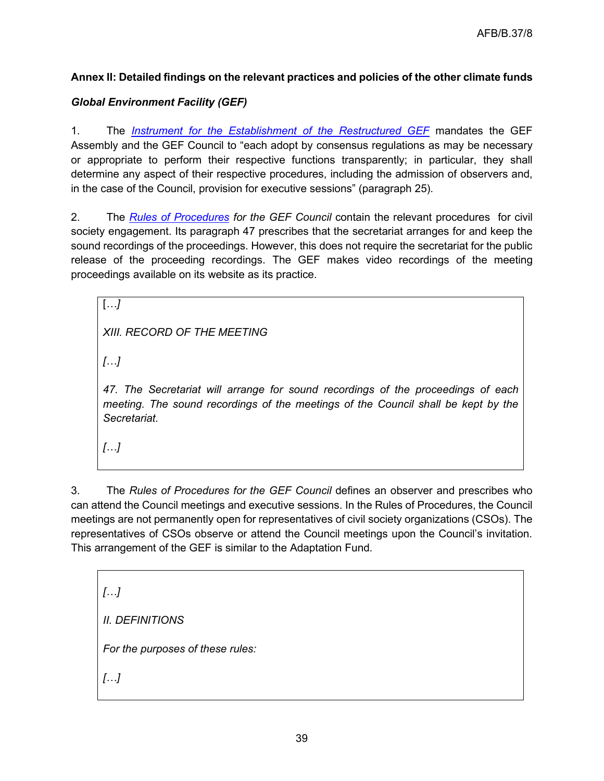# **Annex II: Detailed findings on the relevant practices and policies of the other climate funds**

# *Global Environment Facility (GEF)*

1. The *[Instrument for the Establishment of the Restructured GEF](https://www.thegef.org/sites/default/files/publications/gef_instrument_establishment_restructured_2019.pdf)* mandates the GEF Assembly and the GEF Council to "each adopt by consensus regulations as may be necessary or appropriate to perform their respective functions transparently; in particular, they shall determine any aspect of their respective procedures, including the admission of observers and, in the case of the Council, provision for executive sessions" (paragraph 25).

2. The *[Rules of Procedures](https://www.thegef.org/sites/default/files/publications/11488_English_2.pdf) for the GEF Council* contain the relevant procedures for civil society engagement. Its paragraph 47 prescribes that the secretariat arranges for and keep the sound recordings of the proceedings. However, this does not require the secretariat for the public release of the proceeding recordings. The GEF makes video recordings of the meeting proceedings available on its website as its practice.

*XIII. RECORD OF THE MEETING* 

*[…]* 

[*…]*

*47. The Secretariat will arrange for sound recordings of the proceedings of each meeting. The sound recordings of the meetings of the Council shall be kept by the Secretariat.*

*[…]*

3. The *Rules of Procedures for the GEF Council* defines an observer and prescribes who can attend the Council meetings and executive sessions. In the Rules of Procedures, the Council meetings are not permanently open for representatives of civil society organizations (CSOs). The representatives of CSOs observe or attend the Council meetings upon the Council's invitation. This arrangement of the GEF is similar to the Adaptation Fund.

*[…] II. DEFINITIONS For the purposes of these rules: […]*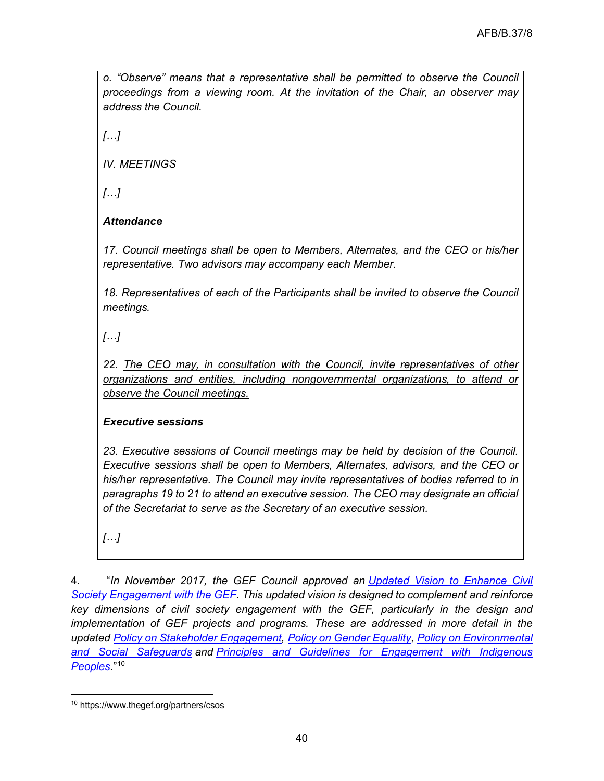*o. "Observe" means that a representative shall be permitted to observe the Council proceedings from a viewing room. At the invitation of the Chair, an observer may address the Council.*

*[…]*

*IV. MEETINGS*

*[…]*

# *Attendance*

*17. Council meetings shall be open to Members, Alternates, and the CEO or his/her representative. Two advisors may accompany each Member.*

*18. Representatives of each of the Participants shall be invited to observe the Council meetings.*

*[…]*

*22. The CEO may, in consultation with the Council, invite representatives of other organizations and entities, including nongovernmental organizations, to attend or observe the Council meetings.*

# *Executive sessions*

*23. Executive sessions of Council meetings may be held by decision of the Council. Executive sessions shall be open to Members, Alternates, advisors, and the CEO or his/her representative. The Council may invite representatives of bodies referred to in paragraphs 19 to 21 to attend an executive session. The CEO may designate an official of the Secretariat to serve as the Secretary of an executive session.*

*[…]*

4. "*In November 2017, the GEF Council approved an [Updated Vision to Enhance Civil](https://www.thegef.org/sites/default/files/council-meeting-documents/EN_GEF.C.53.10.Rev_.01_CSO_Vision_0.pdf)  [Society Engagement with the GEF.](https://www.thegef.org/sites/default/files/council-meeting-documents/EN_GEF.C.53.10.Rev_.01_CSO_Vision_0.pdf) This updated vision is designed to complement and reinforce key dimensions of civil society engagement with the GEF, particularly in the design and implementation of GEF projects and programs. These are addressed in more detail in the updated [Policy on Stakeholder Engagement,](https://www.thegef.org/sites/default/files/council-meeting-documents/EN_GEF.C.53.05.Rev_.01_Stakeholder_Policy_4.pdf) [Policy on Gender](https://www.thegef.org/sites/default/files/council-meeting-documents/EN_GEF.C.53.04_Gender_Policy.pdf) Equality, [Policy on Environmental](https://www.thegef.org/sites/default/files/documents/gef_environmental_social_safeguards_policy.pdf)  [and Social Safeguards](https://www.thegef.org/sites/default/files/documents/gef_environmental_social_safeguards_policy.pdf) and [Principles and Guidelines for Engagement with Indigenous](https://www.thegef.org/sites/default/files/publications/Indigenous_Peoples_Principle_EN.pdf)  [Peoples.](https://www.thegef.org/sites/default/files/publications/Indigenous_Peoples_Principle_EN.pdf)*"[10](#page-39-0)

<span id="page-39-0"></span><sup>10</sup> https://www.thegef.org/partners/csos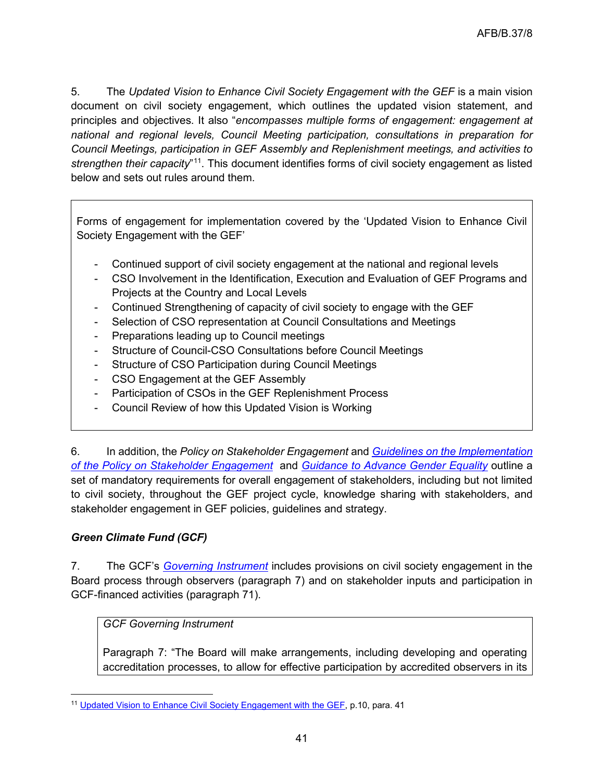5. The *Updated Vision to Enhance Civil Society Engagement with the GEF* is a main vision document on civil society engagement, which outlines the updated vision statement, and principles and objectives. It also "*encompasses multiple forms of engagement: engagement at national and regional levels, Council Meeting participation, consultations in preparation for Council Meetings, participation in GEF Assembly and Replenishment meetings, and activities to strengthen their capacity*"[11](#page-40-0). This document identifies forms of civil society engagement as listed below and sets out rules around them.

Forms of engagement for implementation covered by the 'Updated Vision to Enhance Civil Society Engagement with the GEF'

- Continued support of civil society engagement at the national and regional levels
- CSO Involvement in the Identification, Execution and Evaluation of GEF Programs and Projects at the Country and Local Levels
- Continued Strengthening of capacity of civil society to engage with the GEF
- Selection of CSO representation at Council Consultations and Meetings
- Preparations leading up to Council meetings
- Structure of Council-CSO Consultations before Council Meetings
- Structure of CSO Participation during Council Meetings
- CSO Engagement at the GEF Assembly
- Participation of CSOs in the GEF Replenishment Process
- Council Review of how this Updated Vision is Working

6. In addition, the *Policy on Stakeholder Engagement* and *[Guidelines on the Implementation](https://www.thegef.org/sites/default/files/council-meeting-documents/EN_GEF.C.55_Inf.08_Guidelines_Stakeholder_Engagement.pdf)  [of the Policy on Stakeholder Engagement](https://www.thegef.org/sites/default/files/council-meeting-documents/EN_GEF.C.55_Inf.08_Guidelines_Stakeholder_Engagement.pdf)* and *[Guidance to Advance Gender Equality](https://www.thegef.org/sites/default/files/publications/GEF%20Guidance%20on%20Gender.pdf)* outline a set of mandatory requirements for overall engagement of stakeholders, including but not limited to civil society, throughout the GEF project cycle, knowledge sharing with stakeholders, and stakeholder engagement in GEF policies, guidelines and strategy.

# *Green Climate Fund (GCF)*

7. The GCF's *[Governing Instrument](https://www.greenclimate.fund/sites/default/files/document/governing-instrument.pdf)* includes provisions on civil society engagement in the Board process through observers (paragraph 7) and on stakeholder inputs and participation in GCF-financed activities (paragraph 71).

# *GCF Governing Instrument*

Paragraph 7: "The Board will make arrangements, including developing and operating accreditation processes, to allow for effective participation by accredited observers in its

<span id="page-40-0"></span><sup>11</sup> [Updated Vision to Enhance Civil Society Engagement with the GEF,](https://www.thegef.org/sites/default/files/council-meeting-documents/EN_GEF.C.53.10.Rev_.01_CSO_Vision_0.pdf) p.10, para. 41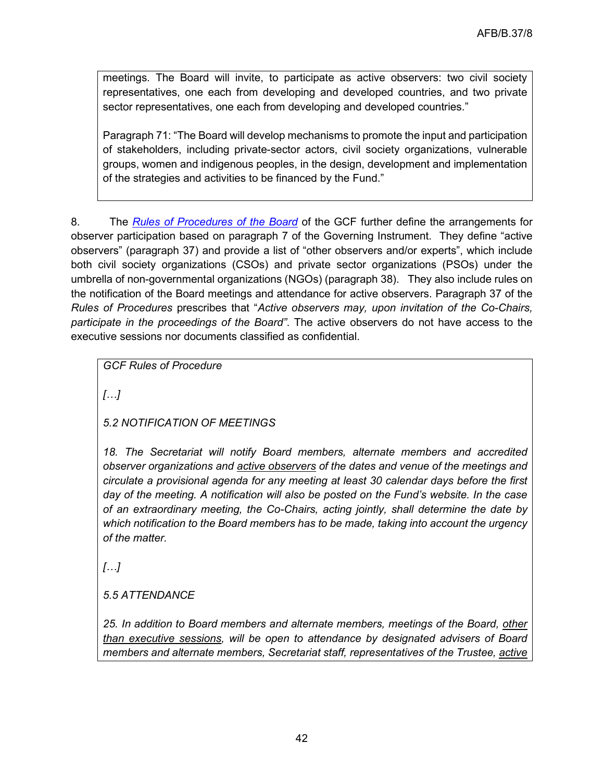meetings. The Board will invite, to participate as active observers: two civil society representatives, one each from developing and developed countries, and two private sector representatives, one each from developing and developed countries."

Paragraph 71: "The Board will develop mechanisms to promote the input and participation of stakeholders, including private-sector actors, civil society organizations, vulnerable groups, women and indigenous peoples, in the design, development and implementation of the strategies and activities to be financed by the Fund."

8. The *[Rules of Procedures](https://www.greenclimate.fund/sites/default/files/document/rules-procedure.pdf) of the Board* of the GCF further define the arrangements for observer participation based on paragraph 7 of the Governing Instrument. They define "active observers" (paragraph 37) and provide a list of "other observers and/or experts", which include both civil society organizations (CSOs) and private sector organizations (PSOs) under the umbrella of non-governmental organizations (NGOs) (paragraph 38). They also include rules on the notification of the Board meetings and attendance for active observers. Paragraph 37 of the *Rules of Procedures* prescribes that "*Active observers may, upon invitation of the Co-Chairs, participate in the proceedings of the Board"*. The active observers do not have access to the executive sessions nor documents classified as confidential.

*GCF Rules of Procedure* 

*[…]*

*5.2 NOTIFICATION OF MEETINGS* 

*18. The Secretariat will notify Board members, alternate members and accredited observer organizations and active observers of the dates and venue of the meetings and circulate a provisional agenda for any meeting at least 30 calendar days before the first day of the meeting. A notification will also be posted on the Fund's website. In the case of an extraordinary meeting, the Co-Chairs, acting jointly, shall determine the date by which notification to the Board members has to be made, taking into account the urgency of the matter.*

*[…]*

*5.5 ATTENDANCE* 

*25. In addition to Board members and alternate members, meetings of the Board, other than executive sessions, will be open to attendance by designated advisers of Board members and alternate members, Secretariat staff, representatives of the Trustee, active*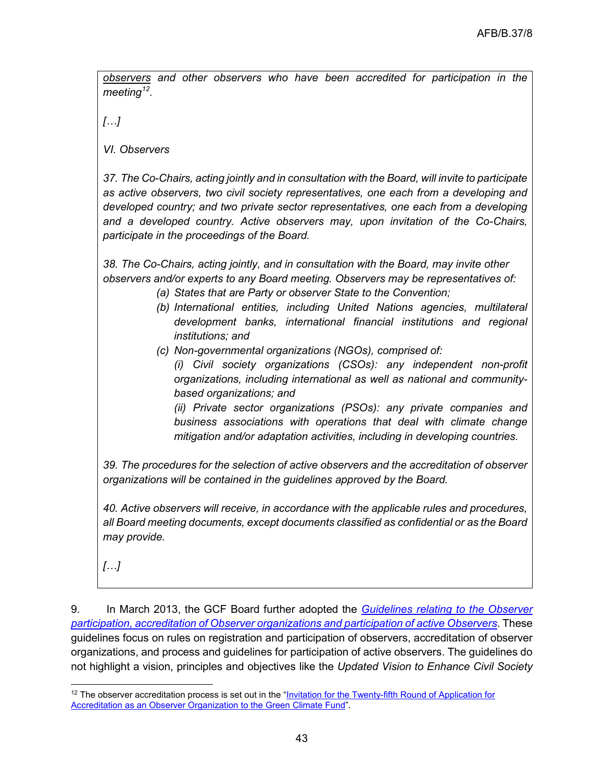*observers and other observers who have been accredited for participation in the meeting[12.](#page-42-0)* 

*[…]*

*VI. Observers*

*37. The Co-Chairs, acting jointly and in consultation with the Board, will invite to participate as active observers, two civil society representatives, one each from a developing and developed country; and two private sector representatives, one each from a developing and a developed country. Active observers may, upon invitation of the Co-Chairs, participate in the proceedings of the Board.*

*38. The Co-Chairs, acting jointly, and in consultation with the Board, may invite other observers and/or experts to any Board meeting. Observers may be representatives of:*

- *(a) States that are Party or observer State to the Convention;*
- *(b) International entities, including United Nations agencies, multilateral development banks, international financial institutions and regional institutions; and*
- *(c) Non-governmental organizations (NGOs), comprised of:*
	- *(i) Civil society organizations (CSOs): any independent non-profit organizations, including international as well as national and communitybased organizations; and*

*(ii) Private sector organizations (PSOs): any private companies and business associations with operations that deal with climate change mitigation and/or adaptation activities, including in developing countries.*

*39. The procedures for the selection of active observers and the accreditation of observer organizations will be contained in the guidelines approved by the Board.* 

*40. Active observers will receive, in accordance with the applicable rules and procedures, all Board meeting documents, except documents classified as confidential or as the Board may provide.*

*[…]*

9. In March 2013, the GCF Board further adopted the *[Guidelines relating to the Observer](https://www.greenclimate.fund/sites/default/files/document/guidelines-observer-participation-accreditation.pdf)  [participation, accreditation of Observer organizations and participation of active Observers](https://www.greenclimate.fund/sites/default/files/document/guidelines-observer-participation-accreditation.pdf)*. These guidelines focus on rules on registration and participation of observers, accreditation of observer organizations, and process and guidelines for participation of active observers. The guidelines do not highlight a vision, principles and objectives like the *Updated Vision to Enhance Civil Society* 

<span id="page-42-0"></span> $12$  The observer accreditation process is set out in the "Invitation for the Twenty-fifth Round of Application for [Accreditation as an Observer Organization to the Green Climate Fund"](https://www.greenclimate.fund/sites/default/files/document/n06-25th-call-application-accreditation-observer-organization.pdf).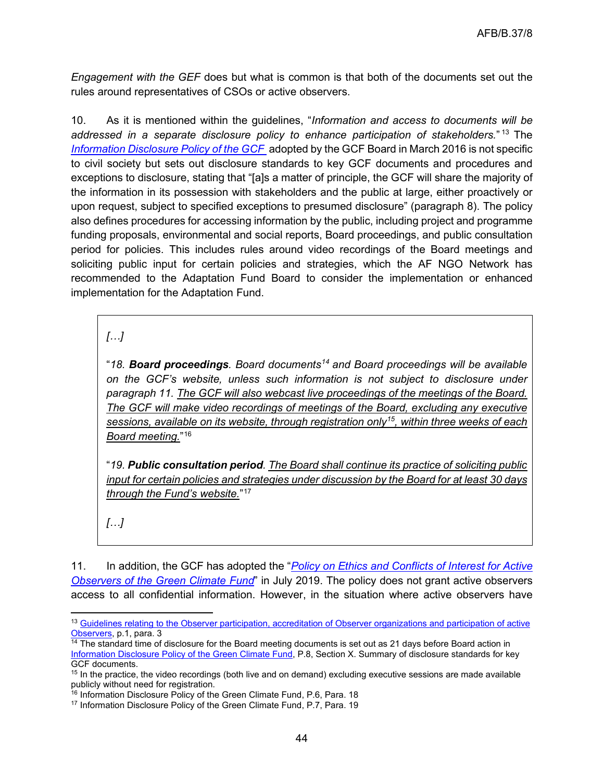*Engagement with the GEF* does but what is common is that both of the documents set out the rules around representatives of CSOs or active observers.

10. As it is mentioned within the guidelines, "*Information and access to documents will be addressed in a separate disclosure policy to enhance participation of stakeholders.*" [13](#page-43-0) The *[Information Disclosure Policy of the GCF](https://www.greenclimate.fund/sites/default/files/document/information-disclosure-policy.pdf)* adopted by the GCF Board in March 2016 is not specific to civil society but sets out disclosure standards to key GCF documents and procedures and exceptions to disclosure, stating that "[a]s a matter of principle, the GCF will share the majority of the information in its possession with stakeholders and the public at large, either proactively or upon request, subject to specified exceptions to presumed disclosure" (paragraph 8). The policy also defines procedures for accessing information by the public, including project and programme funding proposals, environmental and social reports, Board proceedings, and public consultation period for policies. This includes rules around video recordings of the Board meetings and soliciting public input for certain policies and strategies, which the AF NGO Network has recommended to the Adaptation Fund Board to consider the implementation or enhanced implementation for the Adaptation Fund.

*[…]*

"*18. Board proceedings. Board documents[14](#page-43-1) and Board proceedings will be available on the GCF's website, unless such information is not subject to disclosure under paragraph 11. The GCF will also webcast live proceedings of the meetings of the Board. The GCF will make video recordings of meetings of the Board, excluding any executive sessions, available on its website, through registration only[15](#page-43-2), within three weeks of each Board meeting.*"[16](#page-43-3)

"*19. Public consultation period. The Board shall continue its practice of soliciting public input for certain policies and strategies under discussion by the Board for at least 30 days through the Fund's website.*"[17](#page-43-4)

*[…]*

11. In addition, the GCF has adopted the "*[Policy on Ethics and Conflicts of Interest for Active](https://www.greenclimate.fund/sites/default/files/document/policy-ethics-coi-observers.pdf)  [Observers of the Green Climate Fund](https://www.greenclimate.fund/sites/default/files/document/policy-ethics-coi-observers.pdf)*" in July 2019. The policy does not grant active observers access to all confidential information. However, in the situation where active observers have

<span id="page-43-0"></span><sup>13</sup> [Guidelines relating to the Observer participation, accreditation of Observer organizations and participation of active](https://www.greenclimate.fund/sites/default/files/document/guidelines-observer-participation-accreditation.pdf)  [Observers,](https://www.greenclimate.fund/sites/default/files/document/guidelines-observer-participation-accreditation.pdf) p.1, para. 3

<span id="page-43-1"></span> $14$  The standard time of disclosure for the Board meeting documents is set out as 21 days before Board action in [Information Disclosure Policy of the Green Climate Fund,](https://www.greenclimate.fund/sites/default/files/document/information-disclosure-policy.pdf) P.8, Section X. Summary of disclosure standards for key GCF documents.

<span id="page-43-2"></span><sup>&</sup>lt;sup>15</sup> In the practice, the video recordings (both live and on demand) excluding executive sessions are made available publicly without need for registration.

<sup>&</sup>lt;sup>16</sup> Information Disclosure Policy of the Green Climate Fund, P.6, Para. 18

<span id="page-43-4"></span><span id="page-43-3"></span><sup>&</sup>lt;sup>17</sup> Information Disclosure Policy of the Green Climate Fund, P.7, Para. 19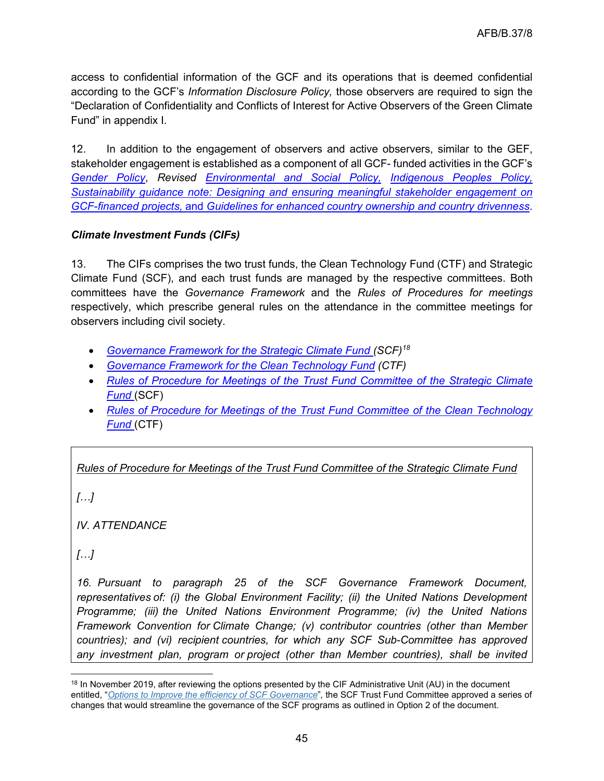access to confidential information of the GCF and its operations that is deemed confidential according to the GCF's *Information Disclosure Policy,* those observers are required to sign the "Declaration of Confidentiality and Conflicts of Interest for Active Observers of the Green Climate Fund" in appendix I.

12. In addition to the engagement of observers and active observers, similar to the GEF, stakeholder engagement is established as a component of all GCF- funded activities in the GCF's *[Gender Policy](https://www.greenclimate.fund/sites/default/files/document/gcf-gender-policy.pdf)*, *Revised [Environmental and Social Policy,](https://www.greenclimate.fund/sites/default/files/document/revised-environmental-and-social-policy.pdf) [Indigenous Peoples Policy,](https://www.greenclimate.fund/sites/default/files/document/ip-policy.pdf) Sustainability guidance note: [Designing](https://www.greenclimate.fund/sites/default/files/document/sustainability-guidance-note-designing-and-ensuring-meaningful-stakeholder-engagement-gcf-financed.pdf) and ensuring meaningful stakeholder engagement on GCF-financed projects,* and *Guidelines for enhanced [country](https://www.greenclimate.fund/sites/default/files/document/guidelines-enhanced-country-ownership-country-drivenness.pdf) ownership and country drivenness*.

# *Climate Investment Funds (CIFs)*

13. The CIFs comprises the two trust funds, the Clean Technology Fund (CTF) and Strategic Climate Fund (SCF), and each trust funds are managed by the respective committees. Both committees have the *Governance Framework* and the *Rules of Procedures for meetings* respectively, which prescribe general rules on the attendance in the committee meetings for observers including civil society.

- *[Governance Framework for the Strategic Climate Fund](https://www.climateinvestmentfunds.org/sites/cif_enc/files/meeting-documents/scf_governance_framework_revised_nov13_0.pdf) (SCF)[18](#page-44-0)*
- *[Governance Framework for the Clean Technology Fund](https://www.climateinvestmentfunds.org/sites/cif_enc/files/meeting-documents/ctf_governance_framework-final.pdf) (CTF)*
- *[Rules of Procedure for Meetings of the Trust Fund Committee of the Strategic Climate](https://www.climateinvestmentfunds.org/sites/cif_enc/files/meeting-documents/scf_rules_of_procedure_for_tfc_meetings_revised_2014_0.pdf)  [Fund](https://www.climateinvestmentfunds.org/sites/cif_enc/files/meeting-documents/scf_rules_of_procedure_for_tfc_meetings_revised_2014_0.pdf)* (SCF)
- *[Rules of Procedure for Meetings of the Trust Fund Committee of the Clean Technology](https://www.climateinvestmentfunds.org/sites/default/files/meeting-documents/ctf_rules_of_procedure_for_tfc_revised_2014_0_0.pdf)  [Fund](https://www.climateinvestmentfunds.org/sites/default/files/meeting-documents/ctf_rules_of_procedure_for_tfc_revised_2014_0_0.pdf)* (CTF)

# *Rules of Procedure for Meetings of the Trust Fund Committee of the Strategic Climate Fund*

*[…]*

*IV. ATTENDANCE*

*[…]*

*16. Pursuant to paragraph 25 of the SCF Governance Framework Document, representatives of: (i) the Global Environment Facility; (ii) the United Nations Development Programme; (iii) the United Nations Environment Programme; (iv) the United Nations Framework Convention for Climate Change; (v) contributor countries (other than Member countries); and (vi) recipient countries, for which any SCF Sub-Committee has approved any investment plan, program or project (other than Member countries), shall be invited* 

<span id="page-44-0"></span><sup>&</sup>lt;sup>18</sup> In November 2019, after reviewing the options presented by the CIF Administrative Unit (AU) in the document entitled, "*[Options to Improve the efficiency of SCF Governance](https://www.climateinvestmentfunds.org/sites/cif_enc/files/meeting-documents/scf_tfc_is.3_3_options_to_streamline_current_scf_governance_posted.pdf)*"*,* the SCF Trust Fund Committee approved a series of changes that would streamline the governance of the SCF programs as outlined in Option 2 of the document.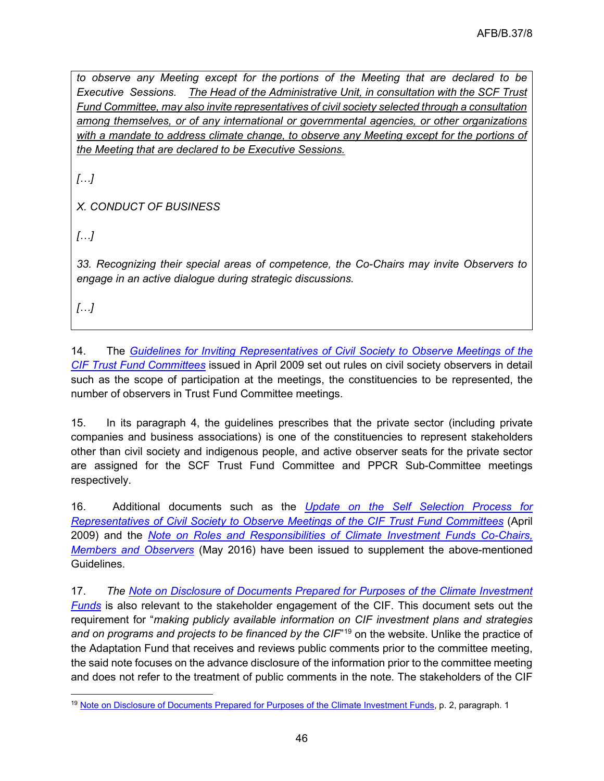*to observe any Meeting except for the portions of the Meeting that are declared to be Executive Sessions. The Head of the Administrative Unit, in consultation with the SCF Trust Fund Committee, may also invite representatives of civil society selected through a consultation among themselves, or of any international or governmental agencies, or other organizations with a mandate to address climate change, to observe any Meeting except for the portions of the Meeting that are declared to be Executive Sessions.* 

*[…]*

*X. CONDUCT OF BUSINESS*

*[…]*

*33. Recognizing their special areas of competence, the Co-Chairs may invite Observers to engage in an active dialogue during strategic discussions.*

*[…]*

14. The *[Guidelines for Inviting Representatives of Civil Society to Observe Meetings of the](https://www.climateinvestmentfunds.org/sites/cif_enc/files/meeting-documents/guidelines_for_inviting_reps_of_civil_society_to_cif_tfc_meetings_042009_english_0.pdf)  [CIF Trust Fund Committees](https://www.climateinvestmentfunds.org/sites/cif_enc/files/meeting-documents/guidelines_for_inviting_reps_of_civil_society_to_cif_tfc_meetings_042009_english_0.pdf)* issued in April 2009 set out rules on civil society observers in detail such as the scope of participation at the meetings, the constituencies to be represented, the number of observers in Trust Fund Committee meetings.

15. In its paragraph 4, the guidelines prescribes that the private sector (including private companies and business associations) is one of the constituencies to represent stakeholders other than civil society and indigenous people, and active observer seats for the private sector are assigned for the SCF Trust Fund Committee and PPCR Sub-Committee meetings respectively.

16. Additional documents such as the *[Update on the Self Selection Process for](https://www.climateinvestmentfunds.org/sites/cif_enc/files/meeting-documents/update_on_self_selection_process_for_observersfinalapril24_0.pdf)  [Representatives of Civil Society to Observe Meetings of the](https://www.climateinvestmentfunds.org/sites/cif_enc/files/meeting-documents/update_on_self_selection_process_for_observersfinalapril24_0.pdf) CIF Trust Fund Committees* (April 2009) and the *[Note on Roles and Responsibilities of Climate Investment Funds Co-Chairs,](https://www.climateinvestmentfunds.org/sites/cif_enc/files/meeting-documents/roles_and_responsibilities_of_co-chairs_trust_fund_committee_and_sub-committee_members_and_observers_april_28_2016.pdf)  [Members and Observers](https://www.climateinvestmentfunds.org/sites/cif_enc/files/meeting-documents/roles_and_responsibilities_of_co-chairs_trust_fund_committee_and_sub-committee_members_and_observers_april_28_2016.pdf)* (May 2016) have been issued to supplement the above-mentioned Guidelines.

17. *The [Note on Disclosure of Documents Prepared for Purposes of the Climate Investment](https://www.climateinvestmentfunds.org/sites/cif_enc/files/meeting-documents/note_on_disclosure_of_documents_may_2009_0.pdf)  [Funds](https://www.climateinvestmentfunds.org/sites/cif_enc/files/meeting-documents/note_on_disclosure_of_documents_may_2009_0.pdf)* is also relevant to the stakeholder engagement of the CIF. This document sets out the requirement for "*making publicly available information on CIF investment plans and strategies*  and on programs and projects to be financed by the CIF<sup>"[19](#page-45-0)</sup> on the website. Unlike the practice of the Adaptation Fund that receives and reviews public comments prior to the committee meeting, the said note focuses on the advance disclosure of the information prior to the committee meeting and does not refer to the treatment of public comments in the note. The stakeholders of the CIF

<span id="page-45-0"></span><sup>&</sup>lt;sup>19</sup> [Note on Disclosure of Documents Prepared for Purposes of the Climate Investment Funds,](chrome-extension://efaidnbmnnnibpcajpcglclefindmkaj/viewer.html?pdfurl=https%3A%2F%2Fwww.climateinvestmentfunds.org%2Fsites%2Fcif_enc%2Ffiles%2Fmeeting-documents%2Fnote_on_disclosure_of_documents_may_2009_0.pdf&clen=97299&chunk=true) p. 2, paragraph. 1